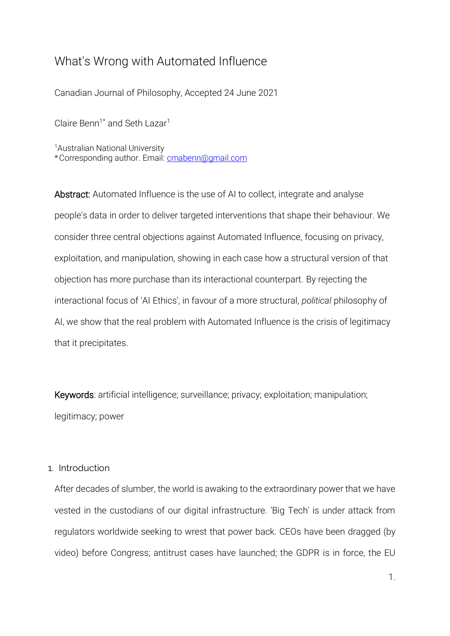# What's Wrong with Automated Influence

Canadian Journal of Philosophy, Accepted 24 June 2021

Claire Benn<sup>1\*</sup> and Seth Lazar<sup>1</sup>

<sup>1</sup>Australian National University \*Corresponding author. Email: [cmabenn@gmail.com](mailto:cmabenn@gmail.com)

Abstract: Automated Influence is the use of AI to collect, integrate and analyse people's data in order to deliver targeted interventions that shape their behaviour. We consider three central objections against Automated Influence, focusing on privacy, exploitation, and manipulation, showing in each case how a structural version of that objection has more purchase than its interactional counterpart. By rejecting the interactional focus of 'AI Ethics', in favour of a more structural, *political* philosophy of AI, we show that the real problem with Automated Influence is the crisis of legitimacy that it precipitates.

Keywords: artificial intelligence; surveillance; privacy; exploitation; manipulation; legitimacy; power

# 1. Introduction

After decades of slumber, the world is awaking to the extraordinary power that we have vested in the custodians of our digital infrastructure. 'Big Tech' is under attack from regulators worldwide seeking to wrest that power back. CEOs have been dragged (by video) before Congress; antitrust cases have launched; the GDPR is in force, the EU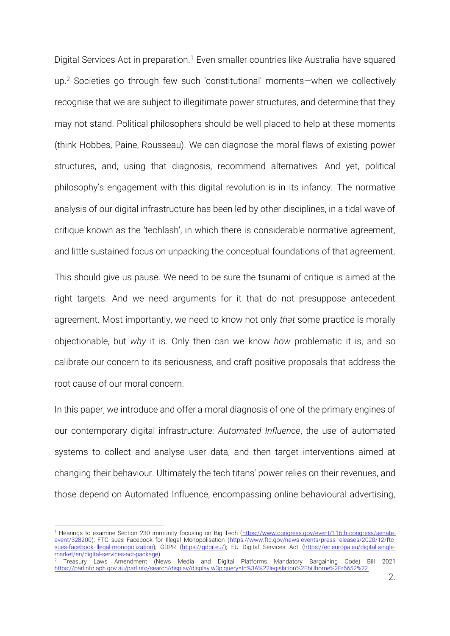Digital Services Act in preparation.<sup>1</sup> Even smaller countries like Australia have squared up.<sup>2</sup> Societies go through few such 'constitutional' moments—when we collectively recognise that we are subject to illegitimate power structures, and determine that they may not stand. Political philosophers should be well placed to help at these moments (think Hobbes, Paine, Rousseau). We can diagnose the moral flaws of existing power structures, and, using that diagnosis, recommend alternatives. And yet, political philosophy's engagement with this digital revolution is in its infancy. The normative analysis of our digital infrastructure has been led by other disciplines, in a tidal wave of critique known as the 'techlash', in which there is considerable normative agreement, and little sustained focus on unpacking the conceptual foundations of that agreement.

This should give us pause. We need to be sure the tsunami of critique is aimed at the right targets. And we need arguments for it that do not presuppose antecedent agreement. Most importantly, we need to know not only *that* some practice is morally objectionable, but *why* it is. Only then can we know *how* problematic it is, and so calibrate our concern to its seriousness, and craft positive proposals that address the root cause of our moral concern.

In this paper, we introduce and offer a moral diagnosis of one of the primary engines of our contemporary digital infrastructure: *Automated Influence*, the use of automated systems to collect and analyse user data, and then target interventions aimed at changing their behaviour. Ultimately the tech titans' power relies on their revenues, and those depend on Automated Influence, encompassing online behavioural advertising,

<sup>&</sup>lt;sup>1</sup> Hearings to examine Section 230 immunity focusing on Big Tech [\(https://www.congress.gov/event/116th-congress/senate](https://www.congress.gov/event/116th-congress/senate-event/328200)[event/328200\)](https://www.congress.gov/event/116th-congress/senate-event/328200); FTC sues Facebook for Illegal Monopolisation [\(https://www.ftc.gov/news-events/press-releases/2020/12/ftc](https://www.ftc.gov/news-events/press-releases/2020/12/ftc-sues-facebook-illegal-monopolization)[sues-facebook-illegal-monopolization\)](https://www.ftc.gov/news-events/press-releases/2020/12/ftc-sues-facebook-illegal-monopolization); GDPR [\(https://gdpr.eu/\)](https://gdpr.eu/); EU Digital Services Act [\(https://ec.europa.eu/digital-single](https://ec.europa.eu/digital-single-market/en/digital-services-act-package)[market/en/digital-services-act-package\)](https://ec.europa.eu/digital-single-market/en/digital-services-act-package)

<sup>2</sup> Treasury Laws Amendment (News Media and Digital Platforms Mandatory Bargaining Code) Bill 2021 [https://parlinfo.aph.gov.au/parlInfo/search/display/display.w3p;query=Id%3A%22legislation%2Fbillhome%2Fr6652%22.](https://parlinfo.aph.gov.au/parlInfo/search/display/display.w3p;query=Id%3A%22legislation%2Fbillhome%2Fr6652%22)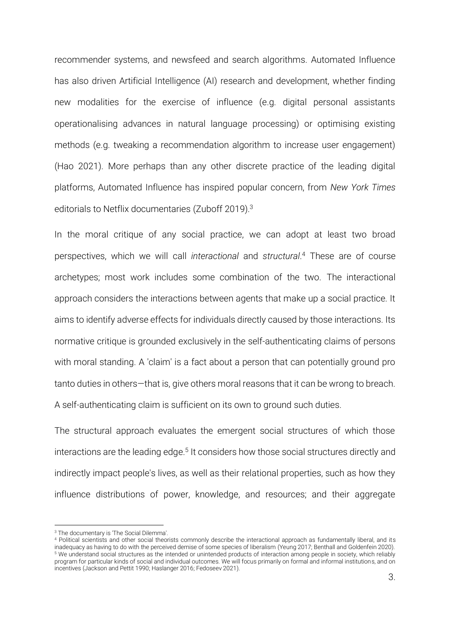recommender systems, and newsfeed and search algorithms. Automated Influence has also driven Artificial Intelligence (AI) research and development, whether finding new modalities for the exercise of influence (e.g. digital personal assistants operationalising advances in natural language processing) or optimising existing methods (e.g. tweaking a recommendation algorithm to increase user engagement) [\(Hao 2021\)](#page-46-0). More perhaps than any other discrete practice of the leading digital platforms, Automated Influence has inspired popular concern, from *New York Times* editorials to Netflix documentaries [\(Zuboff 2019\)](#page-49-0). 3

In the moral critique of any social practice, we can adopt at least two broad perspectives, which we will call *interactional* and *structural*. <sup>4</sup> These are of course archetypes; most work includes some combination of the two. The interactional approach considers the interactions between agents that make up a social practice. It aims to identify adverse effects for individuals directly caused by those interactions. Its normative critique is grounded exclusively in the self-authenticating claims of persons with moral standing. A 'claim' is a fact about a person that can potentially ground pro tanto duties in others—that is, give others moral reasons that it can be wrong to breach. A self-authenticating claim is sufficient on its own to ground such duties.

The structural approach evaluates the emergent social structures of which those interactions are the leading edge.<sup>5</sup> It considers how those social structures directly and indirectly impact people's lives, as well as their relational properties, such as how they influence distributions of power, knowledge, and resources; and their aggregate

<sup>3</sup> The documentary is 'The Social Dilemma'.

<sup>4</sup> Political scientists and other social theorists commonly describe the interactional approach as fundamentally liberal, and its inadequacy as having to do with the perceived demise of some species of liberalism [\(Yeung 2017;](#page-49-1) [Benthall and Goldenfein 2020\)](#page-46-1). <sup>5</sup> We understand social structures as the intended or unintended products of interaction among people in society, which reliably program for particular kinds of social and individual outcomes. We will focus primarily on formal and informal institutions, and on incentives [\(Jackson and Pettit 1990;](#page-47-0) [Haslanger 2016;](#page-47-1) [Fedoseev 2021\)](#page-46-2).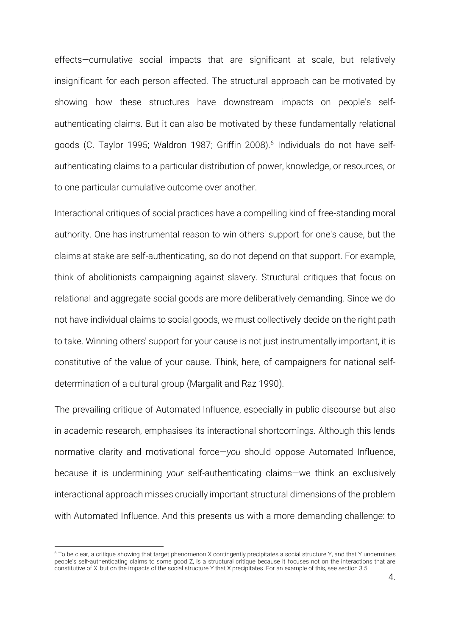effects—cumulative social impacts that are significant at scale, but relatively insignificant for each person affected. The structural approach can be motivated by showing how these structures have downstream impacts on people's selfauthenticating claims. But it can also be motivated by these fundamentally relational goods [\(C. Taylor 1995;](#page-48-0) [Waldron 1987;](#page-49-2) [Griffin 2008\)](#page-46-3). 6 Individuals do not have selfauthenticating claims to a particular distribution of power, knowledge, or resources, or to one particular cumulative outcome over another.

Interactional critiques of social practices have a compelling kind of free-standing moral authority. One has instrumental reason to win others' support for one's cause, but the claims at stake are self-authenticating, so do not depend on that support. For example, think of abolitionists campaigning against slavery. Structural critiques that focus on relational and aggregate social goods are more deliberatively demanding. Since we do not have individual claims to social goods, we must collectively decide on the right path to take. Winning others' support for your cause is not just instrumentally important, it is constitutive of the value of your cause. Think, here, of campaigners for national selfdetermination of a cultural group [\(Margalit and Raz 1990\)](#page-47-2).

The prevailing critique of Automated Influence, especially in public discourse but also in academic research, emphasises its interactional shortcomings. Although this lends normative clarity and motivational force—*you* should oppose Automated Influence, because it is undermining *your* self-authenticating claims—we think an exclusively interactional approach misses crucially important structural dimensions of the problem with Automated Influence. And this presents us with a more demanding challenge: to

<sup>&</sup>lt;sup>6</sup> To be clear, a critique showing that target phenomenon X contingently precipitates a social structure Y, and that Y undermines people's self-authenticating claims to some good Z, is a structural critique because it focuses not on the interactions that are constitutive of X, but on the impacts of the social structure Y that X precipitates. For an example of this, see section 3.5.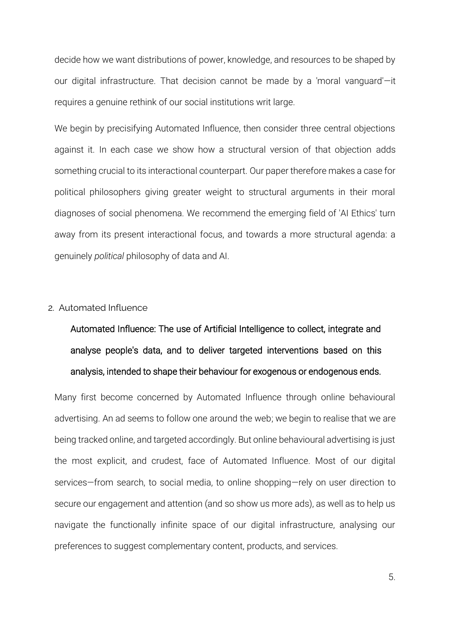decide how we want distributions of power, knowledge, and resources to be shaped by our digital infrastructure. That decision cannot be made by a 'moral vanguard'—it requires a genuine rethink of our social institutions writ large.

We begin by precisifying Automated Influence, then consider three central objections against it. In each case we show how a structural version of that objection adds something crucial to its interactional counterpart. Our paper therefore makes a case for political philosophers giving greater weight to structural arguments in their moral diagnoses of social phenomena. We recommend the emerging field of 'AI Ethics' turn away from its present interactional focus, and towards a more structural agenda: a genuinely *political* philosophy of data and AI.

#### 2. Automated Influence

Automated Influence: The use of Artificial Intelligence to collect, integrate and analyse people's data, and to deliver targeted interventions based on this analysis, intended to shape their behaviour for exogenous or endogenous ends.

Many first become concerned by Automated Influence through online behavioural advertising. An ad seems to follow one around the web; we begin to realise that we are being tracked online, and targeted accordingly. But online behavioural advertising is just the most explicit, and crudest, face of Automated Influence. Most of our digital services—from search, to social media, to online shopping—rely on user direction to secure our engagement and attention (and so show us more ads), as well as to help us navigate the functionally infinite space of our digital infrastructure, analysing our preferences to suggest complementary content, products, and services.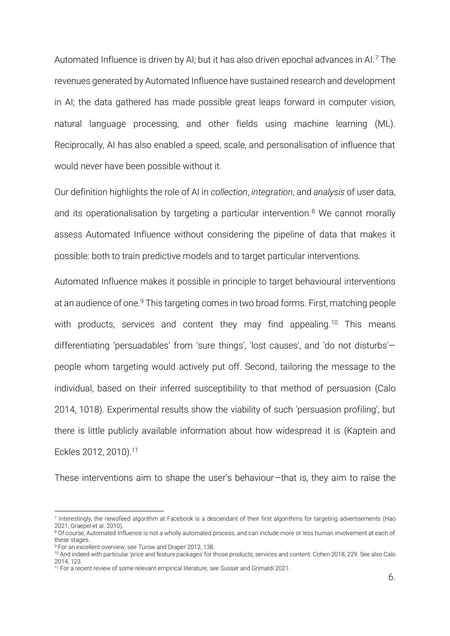Automated Influence is driven by AI; but it has also driven epochal advances in AI.<sup>7</sup> The revenues generated by Automated Influence have sustained research and development in AI; the data gathered has made possible great leaps forward in computer vision, natural language processing, and other fields using machine learning (ML). Reciprocally, AI has also enabled a speed, scale, and personalisation of influence that would never have been possible without it.

Our definition highlights the role of AI in *collection*, *integration*, and *analysis* of user data, and its operationalisation by targeting a particular intervention.<sup>8</sup> We cannot morally assess Automated Influence without considering the pipeline of data that makes it possible: both to train predictive models and to target particular interventions.

Automated Influence makes it possible in principle to target behavioural interventions at an audience of one.<sup>9</sup> This targeting comes in two broad forms. First, matching people with products, services and content they may find appealing.<sup>10</sup> This means differentiating 'persuadables' from 'sure things', 'lost causes', and 'do not disturbs' people whom targeting would actively put off. Second, tailoring the message to the individual, based on their inferred susceptibility to that method of persuasion [\(Calo](#page-46-4)  2014, 1018). Experimental results show the viability of such 'persuasion profiling', but there is little publicly available information about how widespread it is [\(Kaptein and](#page-47-3)  [Eckles 2012,](#page-47-3) [2010\)](#page-47-4). 11

These interventions aim to shape the user's behaviour—that is, they aim to raise the

<sup>7</sup> Interestingly, the newsfeed algorithm at Facebook is a descendant of their first algorithms for targeting advertisements [\(Hao](#page-46-0)  [2021;](#page-46-0) [Graepel et al. 2010\)](#page-46-5).

<sup>&</sup>lt;sup>8</sup> Of course, Automated Influence is not a wholly automated process, and can include more or less human involvement at each of these stages.

<sup>9</sup> For an excellent overview, se[e Turow and Draper 2012, 138.](#page-48-1)

<sup>10</sup> And indeed with particular 'price and feature packages' for those products, services and content[: Cohen 2018, 229.](#page-46-6) See als[o Calo](#page-46-4)  2014, 123.

<sup>&</sup>lt;sup>11</sup> For a recent review of some relevant empirical literature, se[e Susser and Grimaldi 2021.](#page-48-2)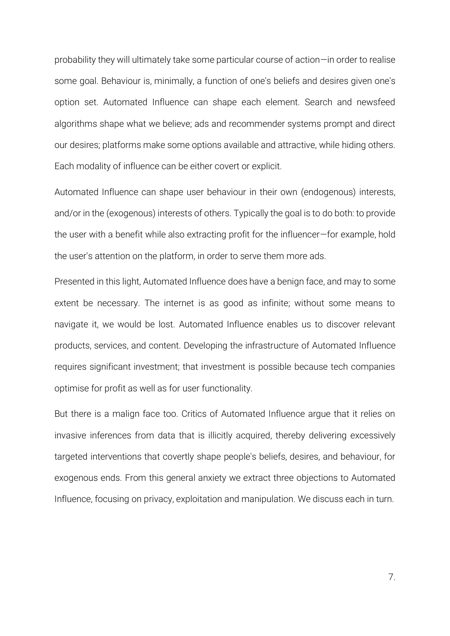probability they will ultimately take some particular course of action—in order to realise some goal. Behaviour is, minimally, a function of one's beliefs and desires given one's option set. Automated Influence can shape each element. Search and newsfeed algorithms shape what we believe; ads and recommender systems prompt and direct our desires; platforms make some options available and attractive, while hiding others. Each modality of influence can be either covert or explicit.

Automated Influence can shape user behaviour in their own (endogenous) interests, and/or in the (exogenous) interests of others. Typically the goal is to do both: to provide the user with a benefit while also extracting profit for the influencer—for example, hold the user's attention on the platform, in order to serve them more ads.

Presented in this light, Automated Influence does have a benign face, and may to some extent be necessary. The internet is as good as infinite; without some means to navigate it, we would be lost. Automated Influence enables us to discover relevant products, services, and content. Developing the infrastructure of Automated Influence requires significant investment; that investment is possible because tech companies optimise for profit as well as for user functionality.

But there is a malign face too. Critics of Automated Influence argue that it relies on invasive inferences from data that is illicitly acquired, thereby delivering excessively targeted interventions that covertly shape people's beliefs, desires, and behaviour, for exogenous ends. From this general anxiety we extract three objections to Automated Influence, focusing on privacy, exploitation and manipulation. We discuss each in turn.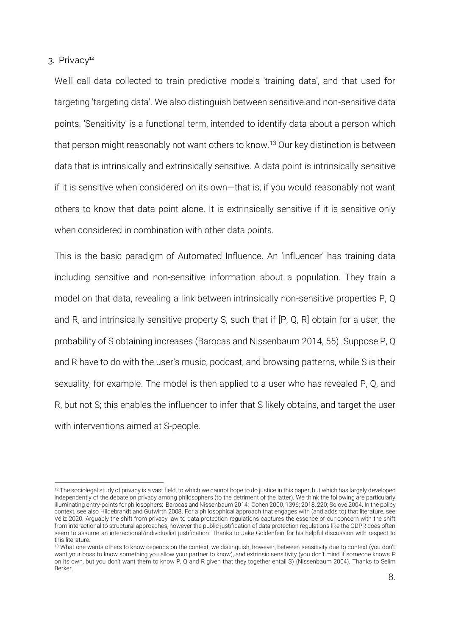3. Privacy<sup>12</sup>

We'll call data collected to train predictive models 'training data', and that used for targeting 'targeting data'. We also distinguish between sensitive and non-sensitive data points. 'Sensitivity' is a functional term, intended to identify data about a person which that person might reasonably not want others to know.<sup>13</sup> Our key distinction is between data that is intrinsically and extrinsically sensitive. A data point is intrinsically sensitive if it is sensitive when considered on its own—that is, if you would reasonably not want others to know that data point alone. It is extrinsically sensitive if it is sensitive only when considered in combination with other data points.

This is the basic paradigm of Automated Influence. An 'influencer' has training data including sensitive and non-sensitive information about a population. They train a model on that data, revealing a link between intrinsically non-sensitive properties P, Q and R, and intrinsically sensitive property S, such that if [P, Q, R] obtain for a user, the probability of S obtaining increases [\(Barocas and Nissenbaum 2014, 55\)](#page-46-7). Suppose P, Q and R have to do with the user's music, podcast, and browsing patterns, while S is their sexuality, for example. The model is then applied to a user who has revealed P, Q, and R, but not S; this enables the influencer to infer that S likely obtains, and target the user with interventions aimed at S-people.

 $12$  The sociolegal study of privacy is a vast field, to which we cannot hope to do justice in this paper, but which has largely developed independently of the debate on privacy among philosophers (to the detriment of the latter). We think the following are particularly illuminating entry-points for philosophers: [Barocas and Nissenbaum 2014;](#page-46-7) [Cohen 2000, 1396;](#page-46-8) [2018, 220;](#page-46-6) [Solove 2004.](#page-48-3) In the policy context, see als[o Hildebrandt and Gutwirth 2008.](#page-47-5) For a philosophical approach that engages with (and adds to) that literature, see [Véliz 2020.](#page-48-4) Arguably the shift from privacy law to data protection regulations captures the essence of our concern with the shift from interactional to structural approaches, however the public justification of data protection regulations like the GDPR does often seem to assume an interactional/individualist justification. Thanks to Jake Goldenfein for his helpful discussion with respect to this literature.

<sup>&</sup>lt;sup>13</sup> What one wants others to know depends on the context; we distinguish, however, between sensitivity due to context (you don't want your boss to know something you allow your partner to know), and extrinsic sensitivity (you don't mind if someone knows P on its own, but you don't want them to know P, Q and R given that they together entail S) [\(Nissenbaum 2004\)](#page-47-6). Thanks to Selim Berker.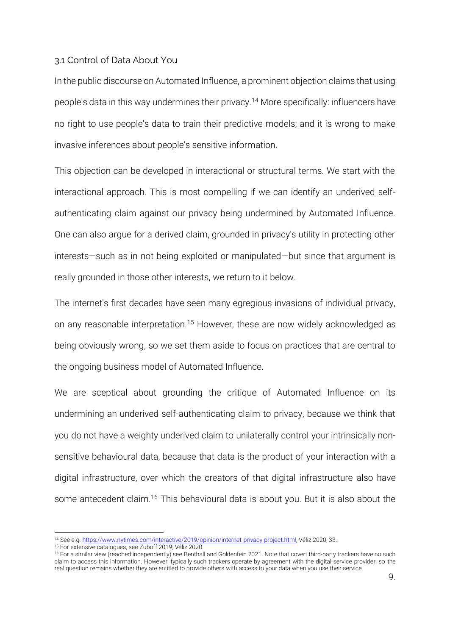#### 3.1 Control of Data About You

In the public discourse on Automated Influence, a prominent objection claims that using people's data in this way undermines their privacy.<sup>14</sup> More specifically: influencers have no right to use people's data to train their predictive models; and it is wrong to make invasive inferences about people's sensitive information.

This objection can be developed in interactional or structural terms. We start with the interactional approach. This is most compelling if we can identify an underived selfauthenticating claim against our privacy being undermined by Automated Influence. One can also argue for a derived claim, grounded in privacy's utility in protecting other interests—such as in not being exploited or manipulated—but since that argument is really grounded in those other interests, we return to it below.

The internet's first decades have seen many egregious invasions of individual privacy, on any reasonable interpretation.<sup>15</sup> However, these are now widely acknowledged as being obviously wrong, so we set them aside to focus on practices that are central to the ongoing business model of Automated Influence.

We are sceptical about grounding the critique of Automated Influence on its undermining an underived self-authenticating claim to privacy, because we think that you do not have a weighty underived claim to unilaterally control your intrinsically nonsensitive behavioural data, because that data is the product of your interaction with a digital infrastructure, over which the creators of that digital infrastructure also have some antecedent claim.<sup>16</sup> This behavioural data is about you. But it is also about the

<sup>14</sup> See e.g. [https://www.nytimes.com/interactive/2019/opinion/internet-privacy-project.html,](https://www.nytimes.com/interactive/2019/opinion/internet-privacy-project.html) Véliz 2020, 33.

<sup>15</sup> For extensive catalogues, se[e Zuboff 2019;](#page-49-0) [Véliz 2020.](#page-48-4) 

<sup>&</sup>lt;sup>16</sup> For a similar view (reached independently) see [Benthall and Goldenfein](#page-46-9) 2021. Note that covert third-party trackers have no such claim to access this information. However, typically such trackers operate by agreement with the digital service provider, so the real question remains whether they are entitled to provide others with access to your data when you use their service.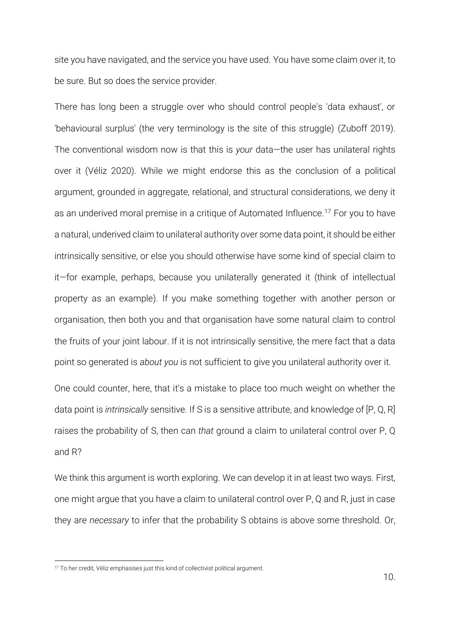site you have navigated, and the service you have used. You have some claim over it, to be sure. But so does the service provider.

There has long been a struggle over who should control people's 'data exhaust', or 'behavioural surplus' (the very terminology is the site of this struggle) [\(Zuboff 2019\)](#page-49-0). The conventional wisdom now is that this is *your* data—the user has unilateral rights over it (Véliz 2020). While we might endorse this as the conclusion of a political argument, grounded in aggregate, relational, and structural considerations, we deny it as an underived moral premise in a critique of Automated Influence.<sup>17</sup> For you to have a natural, underived claim to unilateral authority over some data point, it should be either intrinsically sensitive, or else you should otherwise have some kind of special claim to it—for example, perhaps, because you unilaterally generated it (think of intellectual property as an example). If you make something together with another person or organisation, then both you and that organisation have some natural claim to control the fruits of your joint labour. If it is not intrinsically sensitive, the mere fact that a data point so generated is *about you* is not sufficient to give you unilateral authority over it.

One could counter, here, that it's a mistake to place too much weight on whether the data point is *intrinsically* sensitive. If S is a sensitive attribute, and knowledge of [P, Q, R] raises the probability of S, then can *that* ground a claim to unilateral control over P, Q and R?

We think this argument is worth exploring. We can develop it in at least two ways. First, one might argue that you have a claim to unilateral control over P, Q and R, just in case they are *necessary* to infer that the probability S obtains is above some threshold. Or,

<sup>&</sup>lt;sup>17</sup> To her credit, Véliz emphasises just this kind of collectivist political argument.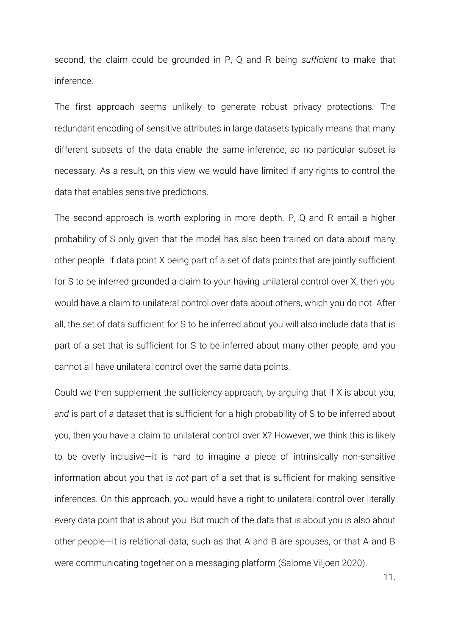second, the claim could be grounded in P, Q and R being *sufficient* to make that inference.

The first approach seems unlikely to generate robust privacy protections. The redundant encoding of sensitive attributes in large datasets typically means that many different subsets of the data enable the same inference, so no particular subset is necessary. As a result, on this view we would have limited if any rights to control the data that enables sensitive predictions.

The second approach is worth exploring in more depth. P, Q and R entail a higher probability of S only given that the model has also been trained on data about many other people. If data point X being part of a set of data points that are jointly sufficient for S to be inferred grounded a claim to your having unilateral control over X, then you would have a claim to unilateral control over data about others, which you do not. After all, the set of data sufficient for S to be inferred about you will also include data that is part of a set that is sufficient for S to be inferred about many other people, and you cannot all have unilateral control over the same data points.

Could we then supplement the sufficiency approach, by arguing that if X is about you, *and* is part of a dataset that is sufficient for a high probability of S to be inferred about you, then you have a claim to unilateral control over X? However, we think this is likely to be overly inclusive—it is hard to imagine a piece of intrinsically non-sensitive information about you that is *not* part of a set that is sufficient for making sensitive inferences. On this approach, you would have a right to unilateral control over literally every data point that is about you. But much of the data that is about you is also about other people—it is relational data, such as that A and B are spouses, or that A and B were communicating together on a messaging platform [\(Salome Viljoen 2020\)](#page-48-5).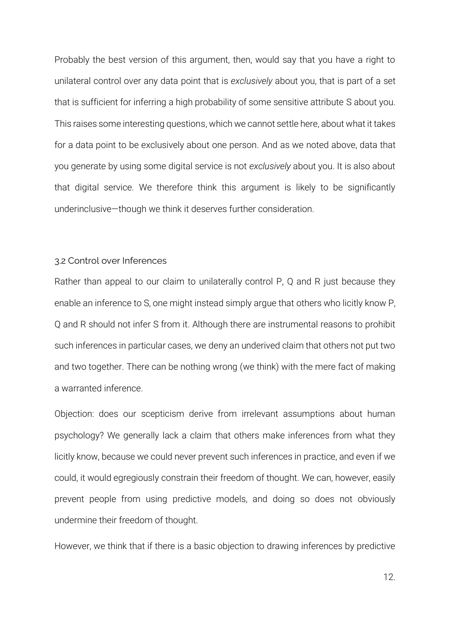Probably the best version of this argument, then, would say that you have a right to unilateral control over any data point that is *exclusively* about you, that is part of a set that is sufficient for inferring a high probability of some sensitive attribute S about you. This raises some interesting questions, which we cannot settle here, about what it takes for a data point to be exclusively about one person. And as we noted above, data that you generate by using some digital service is not *exclusively* about you. It is also about that digital service. We therefore think this argument is likely to be significantly underinclusive—though we think it deserves further consideration.

#### 3.2 Control over Inferences

Rather than appeal to our claim to unilaterally control P, Q and R just because they enable an inference to S, one might instead simply argue that others who licitly know P, Q and R should not infer S from it. Although there are instrumental reasons to prohibit such inferences in particular cases, we deny an underived claim that others not put two and two together. There can be nothing wrong (we think) with the mere fact of making a warranted inference.

Objection: does our scepticism derive from irrelevant assumptions about human psychology? We generally lack a claim that others make inferences from what they licitly know, because we could never prevent such inferences in practice, and even if we could, it would egregiously constrain their freedom of thought. We can, however, easily prevent people from using predictive models, and doing so does not obviously undermine their freedom of thought.

However, we think that if there is a basic objection to drawing inferences by predictive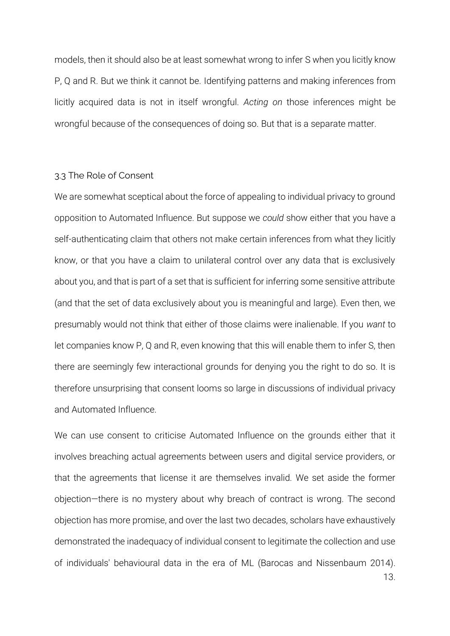models, then it should also be at least somewhat wrong to infer S when you licitly know P, Q and R. But we think it cannot be. Identifying patterns and making inferences from licitly acquired data is not in itself wrongful. *Acting on* those inferences might be wrongful because of the consequences of doing so. But that is a separate matter.

# 3.3 The Role of Consent

We are somewhat sceptical about the force of appealing to individual privacy to ground opposition to Automated Influence. But suppose we *could* show either that you have a self-authenticating claim that others not make certain inferences from what they licitly know, or that you have a claim to unilateral control over any data that is exclusively about you, and that is part of a set that is sufficient for inferring some sensitive attribute (and that the set of data exclusively about you is meaningful and large). Even then, we presumably would not think that either of those claims were inalienable. If you *want* to let companies know P, Q and R, even knowing that this will enable them to infer S, then there are seemingly few interactional grounds for denying you the right to do so. It is therefore unsurprising that consent looms so large in discussions of individual privacy and Automated Influence.

We can use consent to criticise Automated Influence on the grounds either that it involves breaching actual agreements between users and digital service providers, or that the agreements that license it are themselves invalid. We set aside the former objection—there is no mystery about why breach of contract is wrong. The second objection has more promise, and over the last two decades, scholars have exhaustively demonstrated the inadequacy of individual consent to legitimate the collection and use of individuals' behavioural data in the era of ML [\(Barocas and Nissenbaum 2014\)](#page-46-7).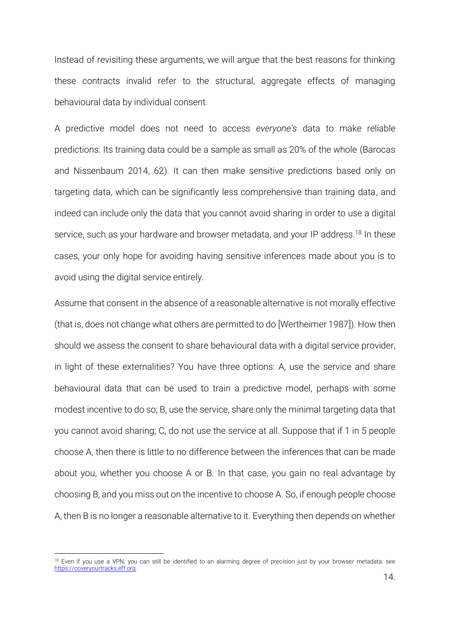Instead of revisiting these arguments, we will argue that the best reasons for thinking these contracts invalid refer to the structural, aggregate effects of managing behavioural data by individual consent.

A predictive model does not need to access *everyone's* data to make reliable predictions. Its training data could be a sample as small as 20% of the whole [\(Barocas](#page-46-7)  and Nissenbaum 2014, 62). It can then make sensitive predictions based only on targeting data, which can be significantly less comprehensive than training data, and indeed can include only the data that you cannot avoid sharing in order to use a digital service, such as your hardware and browser metadata, and your IP address.<sup>18</sup> In these cases, your only hope for avoiding having sensitive inferences made about you is to avoid using the digital service entirely.

Assume that consent in the absence of a reasonable alternative is not morally effective (that is, does not change what others are permitted to do [\[Wertheimer 1987\]](#page-49-3)). How then should we assess the consent to share behavioural data with a digital service provider, in light of these externalities? You have three options: A, use the service and share behavioural data that can be used to train a predictive model, perhaps with some modest incentive to do so; B, use the service, share only the minimal targeting data that you cannot avoid sharing; C, do not use the service at all. Suppose that if 1 in 5 people choose A, then there is little to no difference between the inferences that can be made about you, whether you choose A or B. In that case, you gain no real advantage by choosing B, and you miss out on the incentive to choose A. So, if enough people choose A, then B is no longer a reasonable alternative to it. Everything then depends on whether

<sup>&</sup>lt;sup>18</sup> Even if you use a VPN, you can still be identified to an alarming degree of precision just by your browser metadata: see [https://coveryourtracks.eff.org.](https://coveryourtracks.eff.org/)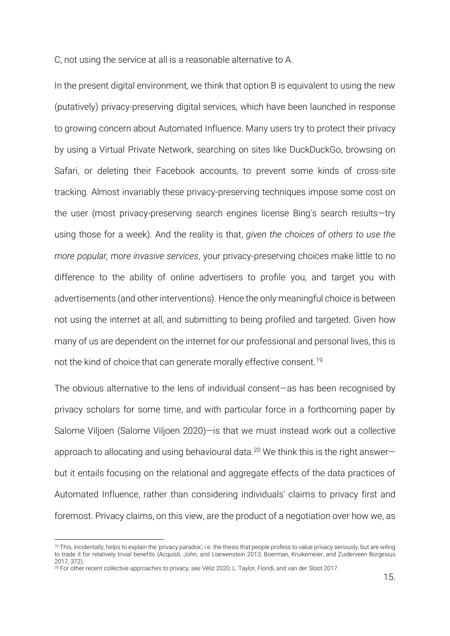C, not using the service at all is a reasonable alternative to A.

In the present digital environment, we think that option B is equivalent to using the new (putatively) privacy-preserving digital services, which have been launched in response to growing concern about Automated Influence. Many users try to protect their privacy by using a Virtual Private Network, searching on sites like DuckDuckGo, browsing on Safari, or deleting their Facebook accounts, to prevent some kinds of cross-site tracking. Almost invariably these privacy-preserving techniques impose some cost on the user (most privacy-preserving search engines license Bing's search results—try using those for a week). And the reality is that, *given the choices of others to use the more popular, more invasive services*, your privacy-preserving choices make little to no difference to the ability of online advertisers to profile you, and target you with advertisements (and other interventions). Hence the only meaningful choice is between not using the internet at all, and submitting to being profiled and targeted. Given how many of us are dependent on the internet for our professional and personal lives, this is not the kind of choice that can generate morally effective consent.<sup>19</sup>

The obvious alternative to the lens of individual consent—as has been recognised by privacy scholars for some time, and with particular force in a forthcoming paper by Salome Viljoen [\(Salome Viljoen 2020\)](#page-48-5)—is that we must instead work out a collective approach to allocating and using behavioural data.<sup>20</sup> We think this is the right answerbut it entails focusing on the relational and aggregate effects of the data practices of Automated Influence, rather than considering individuals' claims to privacy first and foremost. Privacy claims, on this view, are the product of a negotiation over how we, as

<sup>&</sup>lt;sup>19</sup> This, incidentally, helps to explain the 'privacy paradox', i.e. the thesis that people profess to value privacy seriously, but are wiling to trade it for relatively trivial benefits [\(Acquisti, John, and Loewenstein 2013;](#page-46-10) [Boerman, Kruikemeier, and Zuiderveen Borgesius](#page-46-11)  [2017, 372\)](#page-46-11).

<sup>20</sup> For other recent collective approaches to privacy, se[e Véliz 2020;](#page-48-4) [L. Taylor, Floridi, and van der Sloot 2017.](#page-48-6)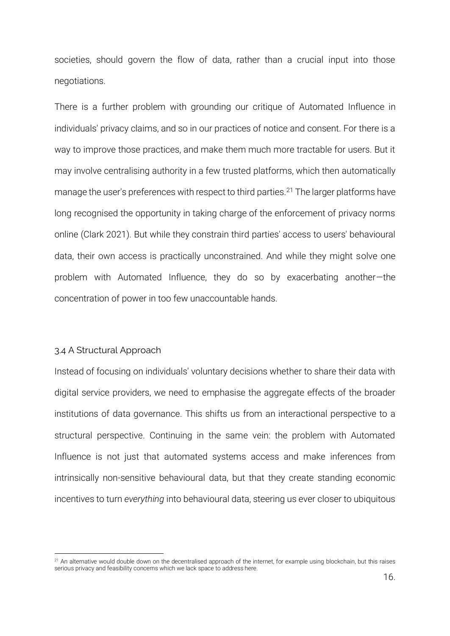societies, should govern the flow of data, rather than a crucial input into those negotiations.

There is a further problem with grounding our critique of Automated Influence in individuals' privacy claims, and so in our practices of notice and consent. For there is a way to improve those practices, and make them much more tractable for users. But it may involve centralising authority in a few trusted platforms, which then automatically manage the user's preferences with respect to third parties.<sup>21</sup> The larger platforms have long recognised the opportunity in taking charge of the enforcement of privacy norms online [\(Clark 2021\)](#page-46-12). But while they constrain third parties' access to users' behavioural data, their own access is practically unconstrained. And while they might solve one problem with Automated Influence, they do so by exacerbating another—the concentration of power in too few unaccountable hands.

# 3.4 A Structural Approach

Instead of focusing on individuals' voluntary decisions whether to share their data with digital service providers, we need to emphasise the aggregate effects of the broader institutions of data governance. This shifts us from an interactional perspective to a structural perspective. Continuing in the same vein: the problem with Automated Influence is not just that automated systems access and make inferences from intrinsically non-sensitive behavioural data, but that they create standing economic incentives to turn *everything* into behavioural data, steering us ever closer to ubiquitous

<sup>&</sup>lt;sup>21</sup> An alternative would double down on the decentralised approach of the internet, for example using blockchain, but this raises serious privacy and feasibility concerns which we lack space to address here.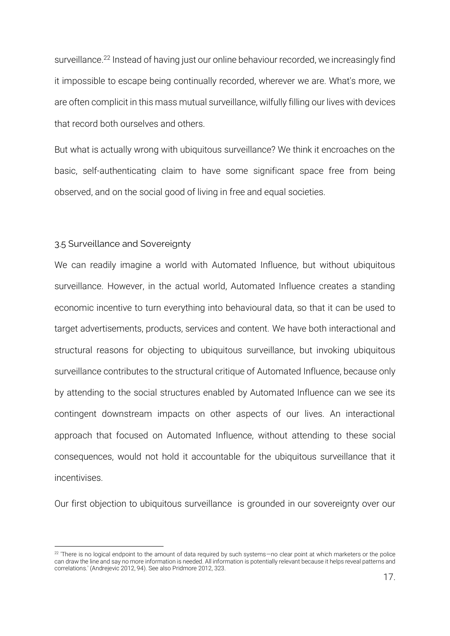surveillance.<sup>22</sup> Instead of having just our online behaviour recorded, we increasingly find it impossible to escape being continually recorded, wherever we are. What's more, we are often complicit in this mass mutual surveillance, wilfully filling our lives with devices that record both ourselves and others.

But what is actually wrong with ubiquitous surveillance? We think it encroaches on the basic, self-authenticating claim to have some significant space free from being observed, and on the social good of living in free and equal societies.

## 3.5 Surveillance and Sovereignty

We can readily imagine a world with Automated Influence, but without ubiquitous surveillance. However, in the actual world, Automated Influence creates a standing economic incentive to turn everything into behavioural data, so that it can be used to target advertisements, products, services and content. We have both interactional and structural reasons for objecting to ubiquitous surveillance, but invoking ubiquitous surveillance contributes to the structural critique of Automated Influence, because only by attending to the social structures enabled by Automated Influence can we see its contingent downstream impacts on other aspects of our lives. An interactional approach that focused on Automated Influence, without attending to these social consequences, would not hold it accountable for the ubiquitous surveillance that it incentivises.

Our first objection to ubiquitous surveillance is grounded in our sovereignty over our

<sup>22</sup> 'There is no logical endpoint to the amount of data required by such systems—no clear point at which marketers or the police can draw the line and say no more information is needed. All information is potentially relevant because it helps reveal patterns and correlations.' [\(Andrejevic 2012, 94\)](#page-46-13). See als[o Pridmore 2012, 323.](#page-48-7)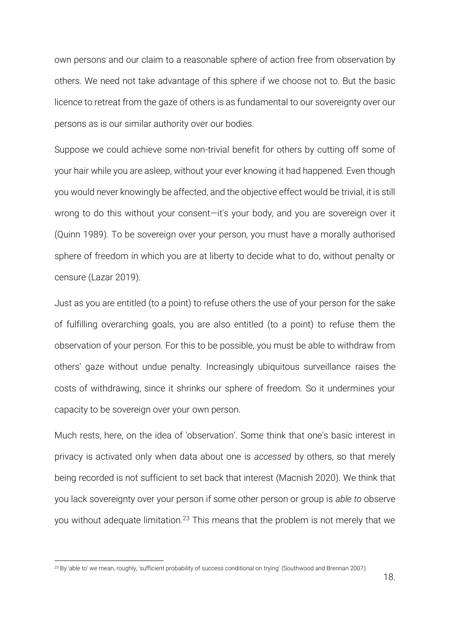own persons and our claim to a reasonable sphere of action free from observation by others. We need not take advantage of this sphere if we choose not to. But the basic licence to retreat from the gaze of others is as fundamental to our sovereignty over our persons as is our similar authority over our bodies.

Suppose we could achieve some non-trivial benefit for others by cutting off some of your hair while you are asleep, without your ever knowing it had happened. Even though you would never knowingly be affected, and the objective effect would be trivial, it is still wrong to do this without your consent—it's your body, and you are sovereign over it [\(Quinn 1989\)](#page-48-8). To be sovereign over your person, you must have a morally authorised sphere of freedom in which you are at liberty to decide what to do, without penalty or censure [\(Lazar 2019\)](#page-47-7).

Just as you are entitled (to a point) to refuse others the use of your person for the sake of fulfilling overarching goals, you are also entitled (to a point) to refuse them the observation of your person. For this to be possible, you must be able to withdraw from others' gaze without undue penalty. Increasingly ubiquitous surveillance raises the costs of withdrawing, since it shrinks our sphere of freedom. So it undermines your capacity to be sovereign over your own person.

Much rests, here, on the idea of 'observation'. Some think that one's basic interest in privacy is activated only when data about one is *accessed* by others, so that merely being recorded is not sufficient to set back that interest [\(Macnish 2020\)](#page-47-8). We think that you lack sovereignty over your person if some other person or group is *able to* observe you without adequate limitation.<sup>23</sup> This means that the problem is not merely that we

<sup>&</sup>lt;sup>23</sup> By 'able to' we mean, roughly, 'sufficient probability of success conditional on trying' [\(Southwood and Brennan 2007\)](#page-48-9).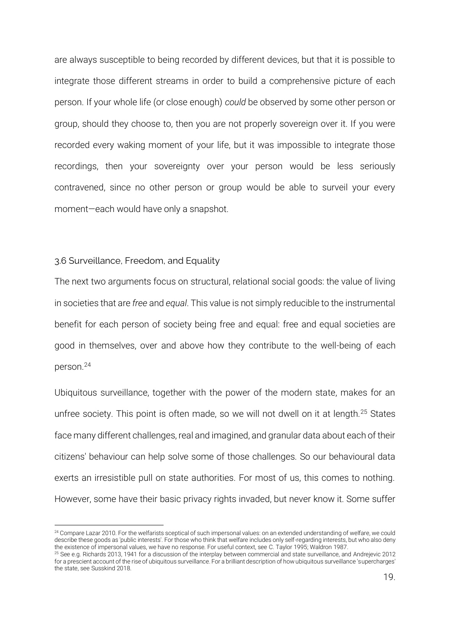are always susceptible to being recorded by different devices, but that it is possible to integrate those different streams in order to build a comprehensive picture of each person. If your whole life (or close enough) *could* be observed by some other person or group, should they choose to, then you are not properly sovereign over it. If you were recorded every waking moment of your life, but it was impossible to integrate those recordings, then your sovereignty over your person would be less seriously contravened, since no other person or group would be able to surveil your every moment—each would have only a snapshot.

## 3.6 Surveillance, Freedom, and Equality

The next two arguments focus on structural, relational social goods: the value of living in societies that are *free* and *equal*. This value is not simply reducible to the instrumental benefit for each person of society being free and equal: free and equal societies are good in themselves, over and above how they contribute to the well-being of each person.<sup>24</sup>

Ubiquitous surveillance, together with the power of the modern state, makes for an unfree society. This point is often made, so we will not dwell on it at length.<sup>25</sup> States face many different challenges, real and imagined, and granular data about each of their citizens' behaviour can help solve some of those challenges. So our behavioural data exerts an irresistible pull on state authorities. For most of us, this comes to nothing. However, some have their basic privacy rights invaded, but never know it. Some suffer

<sup>&</sup>lt;sup>24</sup> Compar[e Lazar 2010.](#page-47-9) For the welfarists sceptical of such impersonal values: on an extended understanding of welfare, we could describe these goods as 'public interests'. For those who think that welfare includes only self-regarding interests, but who also deny the existence of impersonal values, we have no response. For useful context, se[e C. Taylor 1995;](#page-48-0) [Waldron 1987.](#page-49-2) 

<sup>25</sup> See e.g[. Richards 2013, 1941](#page-48-10) for a discussion of the interplay between commercial and state surveillance, and [Andrejevic 2012](#page-46-13) for a prescient account of the rise of ubiquitous surveillance. For a brilliant description of how ubiquitous surveillance 'supercharges' the state, se[e Susskind 2018.](#page-48-11)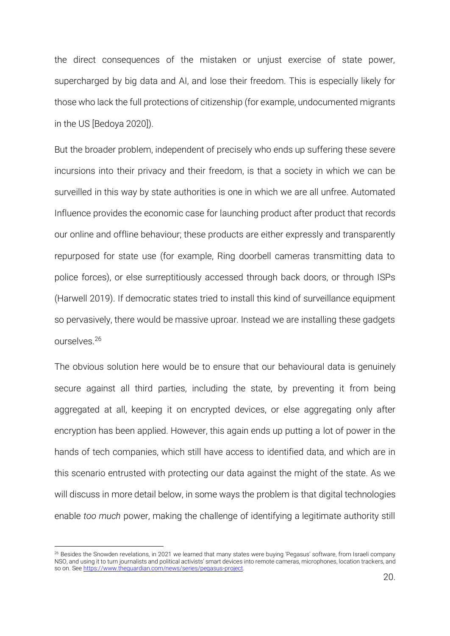the direct consequences of the mistaken or unjust exercise of state power, supercharged by big data and AI, and lose their freedom. This is especially likely for those who lack the full protections of citizenship (for example, undocumented migrants in the US [\[Bedoya 2020\]](#page-46-14)).

But the broader problem, independent of precisely who ends up suffering these severe incursions into their privacy and their freedom, is that a society in which we can be surveilled in this way by state authorities is one in which we are all unfree. Automated Influence provides the economic case for launching product after product that records our online and offline behaviour; these products are either expressly and transparently repurposed for state use (for example, Ring doorbell cameras transmitting data to police forces), or else surreptitiously accessed through back doors, or through ISPs [\(Harwell 2019\)](#page-47-10). If democratic states tried to install this kind of surveillance equipment so pervasively, there would be massive uproar. Instead we are installing these gadgets ourselves.<sup>26</sup>

The obvious solution here would be to ensure that our behavioural data is genuinely secure against all third parties, including the state, by preventing it from being aggregated at all, keeping it on encrypted devices, or else aggregating only after encryption has been applied. However, this again ends up putting a lot of power in the hands of tech companies, which still have access to identified data, and which are in this scenario entrusted with protecting our data against the might of the state. As we will discuss in more detail below, in some ways the problem is that digital technologies enable *too much* power, making the challenge of identifying a legitimate authority still

<sup>&</sup>lt;sup>26</sup> Besides the Snowden revelations, in 2021 we learned that many states were buying 'Pegasus' software, from Israeli company NSO, and using it to turn journalists and political activists' smart devices into remote cameras, microphones, location trackers, and so on. Se[e https://www.theguardian.com/news/series/pegasus-project.](https://www.theguardian.com/news/series/pegasus-project)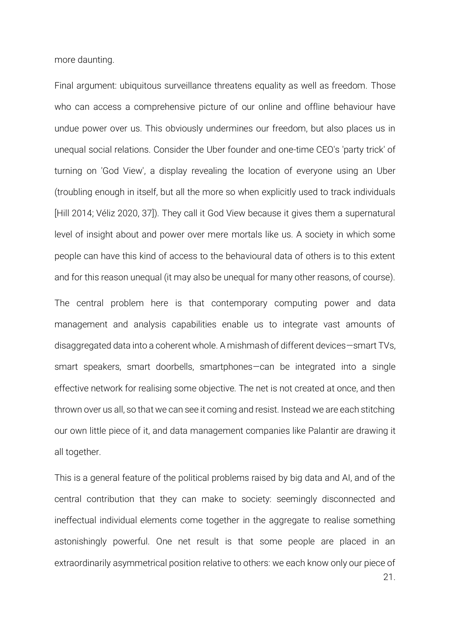more daunting.

Final argument: ubiquitous surveillance threatens equality as well as freedom. Those who can access a comprehensive picture of our online and offline behaviour have undue power over us. This obviously undermines our freedom, but also places us in unequal social relations. Consider the Uber founder and one-time CEO's 'party trick' of turning on 'God View', a display revealing the location of everyone using an Uber (troubling enough in itself, but all the more so when explicitly used to track individuals [\[Hill 2014;](#page-47-11) [Véliz 2020, 37\]](#page-48-4)). They call it God View because it gives them a supernatural level of insight about and power over mere mortals like us. A society in which some people can have this kind of access to the behavioural data of others is to this extent and for this reason unequal (it may also be unequal for many other reasons, of course).

The central problem here is that contemporary computing power and data management and analysis capabilities enable us to integrate vast amounts of disaggregated data into a coherent whole. A mishmash of different devices—smart TVs, smart speakers, smart doorbells, smartphones—can be integrated into a single effective network for realising some objective. The net is not created at once, and then thrown over us all, so that we can see it coming and resist. Instead we are each stitching our own little piece of it, and data management companies like Palantir are drawing it all together.

This is a general feature of the political problems raised by big data and AI, and of the central contribution that they can make to society: seemingly disconnected and ineffectual individual elements come together in the aggregate to realise something astonishingly powerful. One net result is that some people are placed in an extraordinarily asymmetrical position relative to others: we each know only our piece of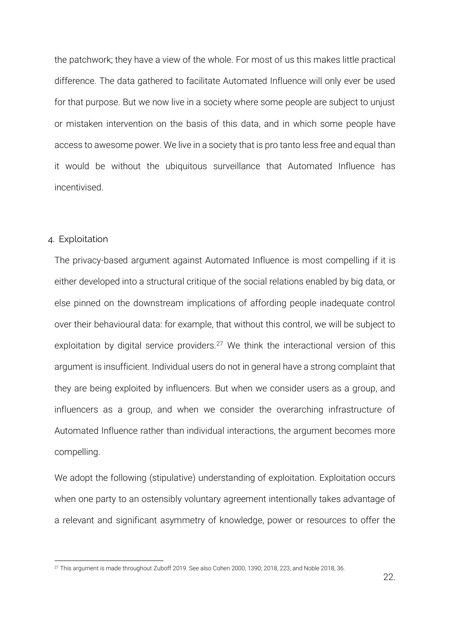the patchwork; they have a view of the whole. For most of us this makes little practical difference. The data gathered to facilitate Automated Influence will only ever be used for that purpose. But we now live in a society where some people are subject to unjust or mistaken intervention on the basis of this data, and in which some people have access to awesome power. We live in a society that is pro tanto less free and equal than it would be without the ubiquitous surveillance that Automated Influence has incentivised.

#### 4. Exploitation

The privacy-based argument against Automated Influence is most compelling if it is either developed into a structural critique of the social relations enabled by big data, or else pinned on the downstream implications of affording people inadequate control over their behavioural data: for example, that without this control, we will be subject to exploitation by digital service providers.<sup>27</sup> We think the interactional version of this argument is insufficient. Individual users do not in general have a strong complaint that they are being exploited by influencers. But when we consider users as a group, and influencers as a group, and when we consider the overarching infrastructure of Automated Influence rather than individual interactions, the argument becomes more compelling.

We adopt the following (stipulative) understanding of exploitation. Exploitation occurs when one party to an ostensibly voluntary agreement intentionally takes advantage of a relevant and significant asymmetry of knowledge, power or resources to offer the

<sup>&</sup>lt;sup>27</sup> This argument is made throughout [Zuboff 2019.](#page-49-0) See als[o Cohen 2000, 1390;](#page-46-8) [2018, 223,](#page-46-6) and [Noble 2018, 36.](#page-47-12)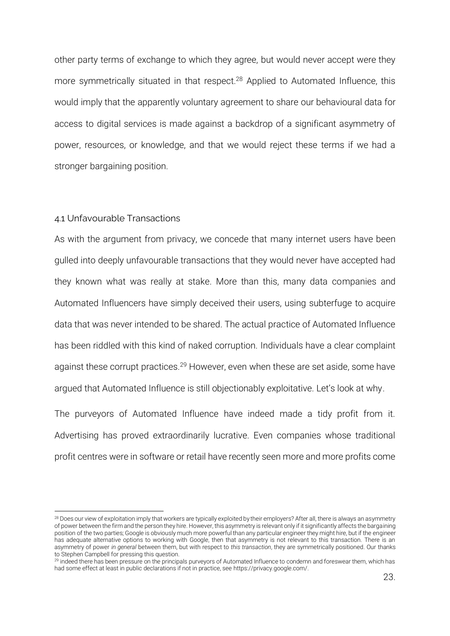other party terms of exchange to which they agree, but would never accept were they more symmetrically situated in that respect. <sup>28</sup> Applied to Automated Influence, this would imply that the apparently voluntary agreement to share our behavioural data for access to digital services is made against a backdrop of a significant asymmetry of power, resources, or knowledge, and that we would reject these terms if we had a stronger bargaining position.

## 4.1 Unfavourable Transactions

As with the argument from privacy, we concede that many internet users have been gulled into deeply unfavourable transactions that they would never have accepted had they known what was really at stake. More than this, many data companies and Automated Influencers have simply deceived their users, using subterfuge to acquire data that was never intended to be shared. The actual practice of Automated Influence has been riddled with this kind of naked corruption. Individuals have a clear complaint against these corrupt practices.<sup>29</sup> However, even when these are set aside, some have argued that Automated Influence is still objectionably exploitative. Let's look at why.

The purveyors of Automated Influence have indeed made a tidy profit from it. Advertising has proved extraordinarily lucrative. Even companies whose traditional profit centres were in software or retail have recently seen more and more profits come

<sup>&</sup>lt;sup>28</sup> Does our view of exploitation imply that workers are typically exploited by their employers? After all, there is always an asymmetry of power between the firm and the person they hire. However, this asymmetry is relevant only if it significantly affects the bargaining position of the two parties; Google is obviously much more powerful than any particular engineer they might hire, but if the engineer has adequate alternative options to working with Google, then that asymmetry is not relevant to this transaction. There is an asymmetry of power *in general* between them, but with respect to *this transaction*, they are symmetrically positioned. Our thanks to Stephen Campbell for pressing this question.

<sup>&</sup>lt;sup>29</sup> indeed there has been pressure on the principals purveyors of Automated Influence to condemn and foreswear them, which has had some effect at least in public declarations if not in practice, see https://privacy.google.com/.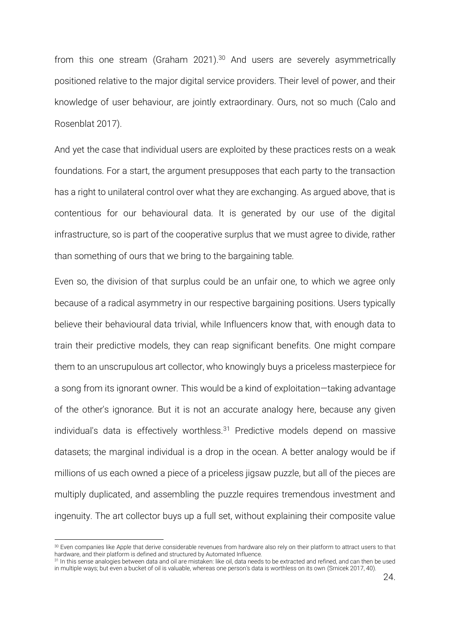from this one stream [\(Graham 2021\)](#page-46-15).<sup>30</sup> And users are severely asymmetrically positioned relative to the major digital service providers. Their level of power, and their knowledge of user behaviour, are jointly extraordinary. Ours, not so much [\(Calo and](#page-46-16)  Rosenblat 2017).

And yet the case that individual users are exploited by these practices rests on a weak foundations. For a start, the argument presupposes that each party to the transaction has a right to unilateral control over what they are exchanging. As argued above, that is contentious for our behavioural data. It is generated by our use of the digital infrastructure, so is part of the cooperative surplus that we must agree to divide, rather than something of ours that we bring to the bargaining table.

Even so, the division of that surplus could be an unfair one, to which we agree only because of a radical asymmetry in our respective bargaining positions. Users typically believe their behavioural data trivial, while Influencers know that, with enough data to train their predictive models, they can reap significant benefits. One might compare them to an unscrupulous art collector, who knowingly buys a priceless masterpiece for a song from its ignorant owner. This would be a kind of exploitation—taking advantage of the other's ignorance. But it is not an accurate analogy here, because any given individual's data is effectively worthless. $31$  Predictive models depend on massive datasets; the marginal individual is a drop in the ocean. A better analogy would be if millions of us each owned a piece of a priceless jigsaw puzzle, but all of the pieces are multiply duplicated, and assembling the puzzle requires tremendous investment and ingenuity. The art collector buys up a full set, without explaining their composite value

<sup>&</sup>lt;sup>30</sup> Even companies like Apple that derive considerable revenues from hardware also rely on their platform to attract users to that hardware, and their platform is defined and structured by Automated Influence.

<sup>&</sup>lt;sup>31</sup> In this sense analogies between data and oil are mistaken: like oil, data needs to be extracted and refined, and can then be used in multiple ways; but even a bucket of oil is valuable, whereas one person's data is worthless on its own [\(Srnicek 2017, 40\)](#page-48-12).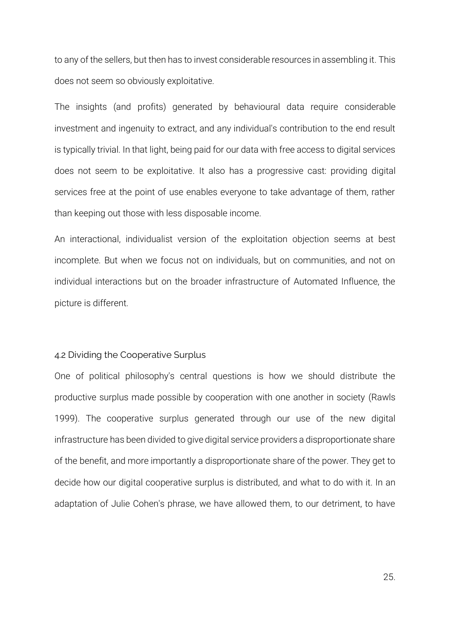to any of the sellers, but then has to invest considerable resources in assembling it. This does not seem so obviously exploitative.

The insights (and profits) generated by behavioural data require considerable investment and ingenuity to extract, and any individual's contribution to the end result is typically trivial. In that light, being paid for our data with free access to digital services does not seem to be exploitative. It also has a progressive cast: providing digital services free at the point of use enables everyone to take advantage of them, rather than keeping out those with less disposable income.

An interactional, individualist version of the exploitation objection seems at best incomplete. But when we focus not on individuals, but on communities, and not on individual interactions but on the broader infrastructure of Automated Influence, the picture is different.

## 4.2 Dividing the Cooperative Surplus

One of political philosophy's central questions is how we should distribute the productive surplus made possible by cooperation with one another in society [\(Rawls](#page-48-13)  1999). The cooperative surplus generated through our use of the new digital infrastructure has been divided to give digital service providers a disproportionate share of the benefit, and more importantly a disproportionate share of the power. They get to decide how our digital cooperative surplus is distributed, and what to do with it. In an adaptation of Julie Cohen's phrase, we have allowed them, to our detriment, to have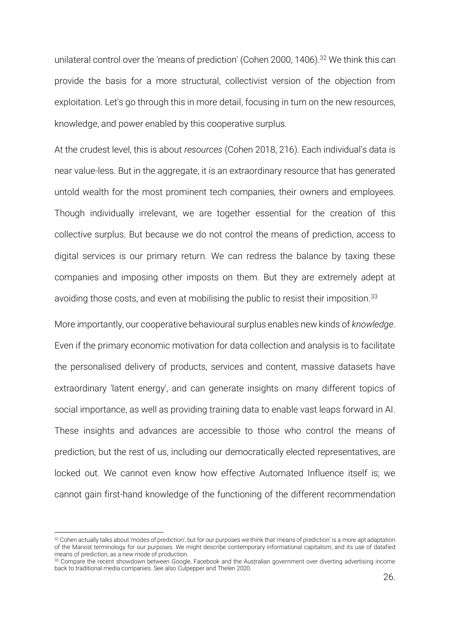unilateral control over the 'means of prediction' [\(Cohen 2000, 1406\)](#page-46-8). <sup>32</sup> We think this can provide the basis for a more structural, collectivist version of the objection from exploitation. Let's go through this in more detail, focusing in turn on the new resources, knowledge, and power enabled by this cooperative surplus.

At the crudest level, this is about *resources* [\(Cohen 2018, 216\)](#page-46-6). Each individual's data is near value-less. But in the aggregate, it is an extraordinary resource that has generated untold wealth for the most prominent tech companies, their owners and employees. Though individually irrelevant, we are together essential for the creation of this collective surplus. But because we do not control the means of prediction, access to digital services is our primary return. We can redress the balance by taxing these companies and imposing other imposts on them. But they are extremely adept at avoiding those costs, and even at mobilising the public to resist their imposition.<sup>33</sup>

More importantly, our cooperative behavioural surplus enables new kinds of *knowledge*. Even if the primary economic motivation for data collection and analysis is to facilitate the personalised delivery of products, services and content, massive datasets have extraordinary 'latent energy', and can generate insights on many different topics of social importance, as well as providing training data to enable vast leaps forward in AI. These insights and advances are accessible to those who control the means of prediction, but the rest of us, including our democratically elected representatives, are locked out. We cannot even know how effective Automated Influence itself is; we cannot gain first-hand knowledge of the functioning of the different recommendation

<sup>32</sup> Cohen actually talks about 'modes of prediction', but for our purposes we think that 'means of prediction' is a more apt adaptation of the Marxist terminology for our purposes. We might describe contemporary informational capitalism, and its use of datafied means of prediction, as a new mode of production.

<sup>33</sup> Compare the recent showdown between Google, Facebook and the Australian government over diverting advertising income back to traditional media companies. See als[o Culpepper and Thelen 2020.](#page-46-17)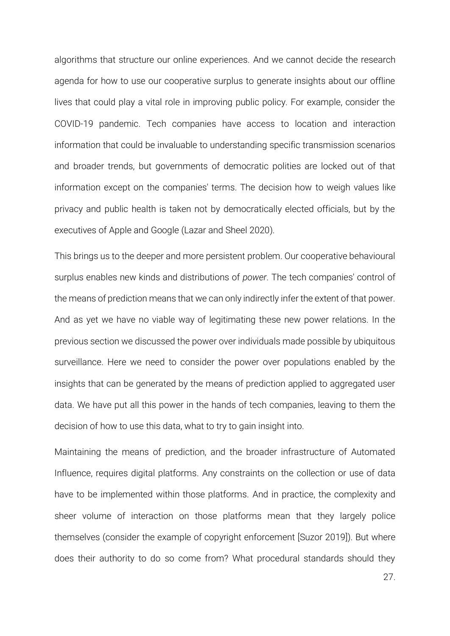algorithms that structure our online experiences. And we cannot decide the research agenda for how to use our cooperative surplus to generate insights about our offline lives that could play a vital role in improving public policy. For example, consider the COVID-19 pandemic. Tech companies have access to location and interaction information that could be invaluable to understanding specific transmission scenarios and broader trends, but governments of democratic polities are locked out of that information except on the companies' terms. The decision how to weigh values like privacy and public health is taken not by democratically elected officials, but by the executives of Apple and Google [\(Lazar and Sheel 2020\)](#page-47-13).

This brings us to the deeper and more persistent problem. Our cooperative behavioural surplus enables new kinds and distributions of *power*. The tech companies' control of the means of prediction means that we can only indirectly infer the extent of that power. And as yet we have no viable way of legitimating these new power relations. In the previous section we discussed the power over individuals made possible by ubiquitous surveillance. Here we need to consider the power over populations enabled by the insights that can be generated by the means of prediction applied to aggregated user data. We have put all this power in the hands of tech companies, leaving to them the decision of how to use this data, what to try to gain insight into.

Maintaining the means of prediction, and the broader infrastructure of Automated Influence, requires digital platforms. Any constraints on the collection or use of data have to be implemented within those platforms. And in practice, the complexity and sheer volume of interaction on those platforms mean that they largely police themselves (consider the example of copyright enforcement [\[Suzor 2019\]](#page-48-14)). But where does their authority to do so come from? What procedural standards should they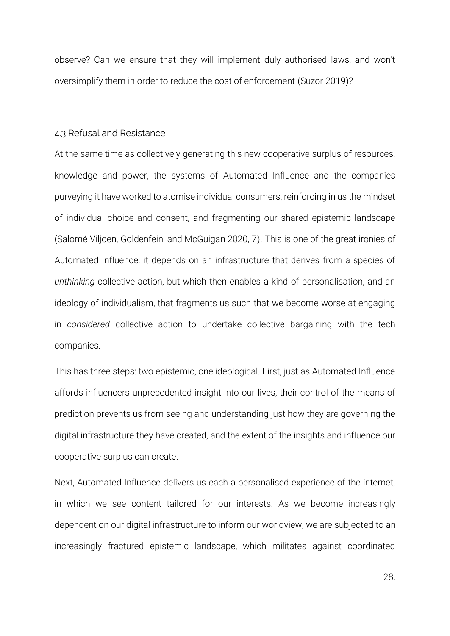observe? Can we ensure that they will implement duly authorised laws, and won't oversimplify them in order to reduce the cost of enforcement [\(Suzor 2019\)](#page-48-14)?

## 4.3 Refusal and Resistance

At the same time as collectively generating this new cooperative surplus of resources, knowledge and power, the systems of Automated Influence and the companies purveying it have worked to atomise individual consumers, reinforcing in us the mindset of individual choice and consent, and fragmenting our shared epistemic landscape [\(Salomé Viljoen, Goldenfein, and McGuigan 2020, 7\)](#page-48-15). This is one of the great ironies of Automated Influence: it depends on an infrastructure that derives from a species of *unthinking* collective action, but which then enables a kind of personalisation, and an ideology of individualism, that fragments us such that we become worse at engaging in *considered* collective action to undertake collective bargaining with the tech companies.

This has three steps: two epistemic, one ideological. First, just as Automated Influence affords influencers unprecedented insight into our lives, their control of the means of prediction prevents us from seeing and understanding just how they are governing the digital infrastructure they have created, and the extent of the insights and influence our cooperative surplus can create.

Next, Automated Influence delivers us each a personalised experience of the internet, in which we see content tailored for our interests. As we become increasingly dependent on our digital infrastructure to inform our worldview, we are subjected to an increasingly fractured epistemic landscape, which militates against coordinated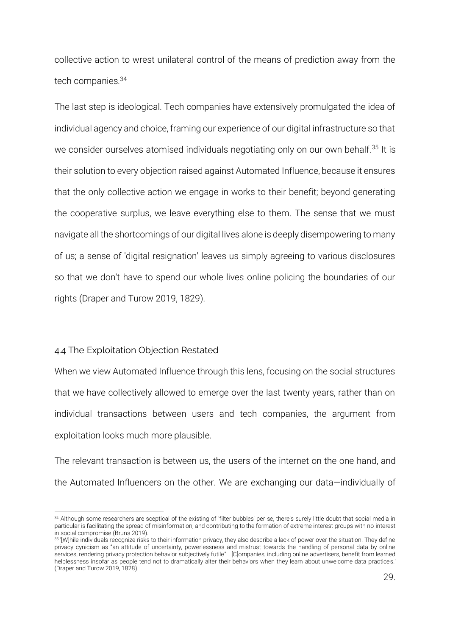collective action to wrest unilateral control of the means of prediction away from the tech companies.<sup>34</sup>

The last step is ideological. Tech companies have extensively promulgated the idea of individual agency and choice, framing our experience of our digital infrastructure so that we consider ourselves atomised individuals negotiating only on our own behalf.<sup>35</sup> It is their solution to every objection raised against Automated Influence, because it ensures that the only collective action we engage in works to their benefit; beyond generating the cooperative surplus, we leave everything else to them. The sense that we must navigate all the shortcomings of our digital lives alone is deeply disempowering to many of us; a sense of 'digital resignation' leaves us simply agreeing to various disclosures so that we don't have to spend our whole lives online policing the boundaries of our rights [\(Draper and Turow 2019, 1829\)](#page-46-18).

# 4.4 The Exploitation Objection Restated

When we view Automated Influence through this lens, focusing on the social structures that we have collectively allowed to emerge over the last twenty years, rather than on individual transactions between users and tech companies, the argument from exploitation looks much more plausible.

The relevant transaction is between us, the users of the internet on the one hand, and the Automated Influencers on the other. We are exchanging our data—individually of

<sup>34</sup> Although some researchers are sceptical of the existing of 'filter bubbles' per se, there's surely little doubt that social media in particular is facilitating the spread of misinformation, and contributing to the formation of extreme interest groups with no interest in social compromise [\(Bruns 2019\)](#page-46-19).

<sup>&</sup>lt;sup>35</sup> '[W]hile individuals recognize risks to their information privacy, they also describe a lack of power over the situation. They define privacy cynicism as "an attitude of uncertainty, powerlessness and mistrust towards the handling of personal data by online services, rendering privacy protection behavior subjectively futile"… [C]ompanies, including online advertisers, benefit from learned helplessness insofar as people tend not to dramatically alter their behaviors when they learn about unwelcome data practices.' [\(Draper and Turow 2019, 1828\)](#page-46-18).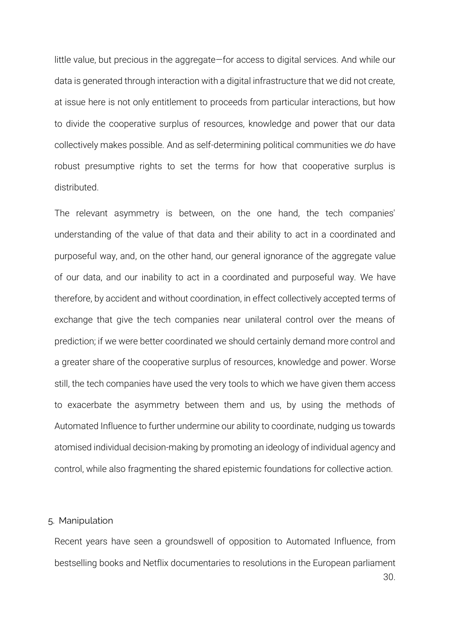little value, but precious in the aggregate—for access to digital services. And while our data is generated through interaction with a digital infrastructure that we did not create, at issue here is not only entitlement to proceeds from particular interactions, but how to divide the cooperative surplus of resources, knowledge and power that our data collectively makes possible. And as self-determining political communities we *do* have robust presumptive rights to set the terms for how that cooperative surplus is distributed.

The relevant asymmetry is between, on the one hand, the tech companies' understanding of the value of that data and their ability to act in a coordinated and purposeful way, and, on the other hand, our general ignorance of the aggregate value of our data, and our inability to act in a coordinated and purposeful way. We have therefore, by accident and without coordination, in effect collectively accepted terms of exchange that give the tech companies near unilateral control over the means of prediction; if we were better coordinated we should certainly demand more control and a greater share of the cooperative surplus of resources, knowledge and power. Worse still, the tech companies have used the very tools to which we have given them access to exacerbate the asymmetry between them and us, by using the methods of Automated Influence to further undermine our ability to coordinate, nudging us towards atomised individual decision-making by promoting an ideology of individual agency and control, while also fragmenting the shared epistemic foundations for collective action.

# 5. Manipulation

30. Recent years have seen a groundswell of opposition to Automated Influence, from bestselling books and Netflix documentaries to resolutions in the European parliament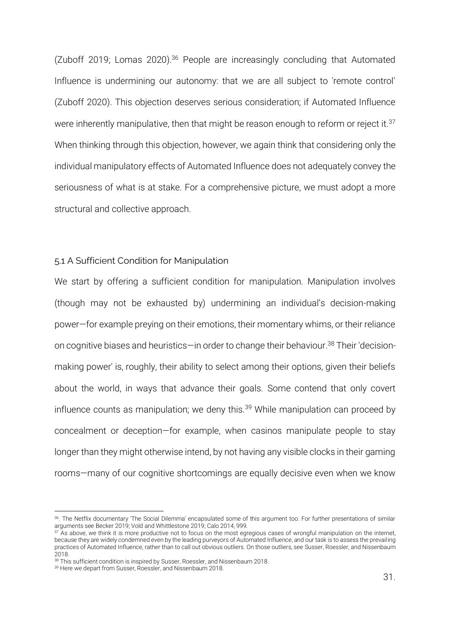[\(Zuboff 2019;](#page-49-0) [Lomas 2020\)](#page-47-14).<sup>36</sup> People are increasingly concluding that Automated Influence is undermining our autonomy: that we are all subject to 'remote control' [\(Zuboff 2020\)](#page-49-4). This objection deserves serious consideration; if Automated Influence were inherently manipulative, then that might be reason enough to reform or reject it.<sup>37</sup> When thinking through this objection, however, we again think that considering only the individual manipulatory effects of Automated Influence does not adequately convey the seriousness of what is at stake. For a comprehensive picture, we must adopt a more structural and collective approach.

#### 5.1 A Sufficient Condition for Manipulation

We start by offering a sufficient condition for manipulation. Manipulation involves (though may not be exhausted by) undermining an individual's decision-making power—for example preying on their emotions, their momentary whims, or their reliance on cognitive biases and heuristics—in order to change their behaviour. <sup>38</sup> Their 'decisionmaking power' is, roughly, their ability to select among their options, given their beliefs about the world, in ways that advance their goals. Some contend that only covert influence counts as manipulation; we deny this.<sup>39</sup> While manipulation can proceed by concealment or deception—for example, when casinos manipulate people to stay longer than they might otherwise intend, by not having any visible clocks in their gaming rooms—many of our cognitive shortcomings are equally decisive even when we know

<sup>36</sup>. The Netflix documentary 'The Social Dilemma' encapsulated some of this argument too. For further presentations of similar arguments se[e Becker 2019;](#page-46-20) [Vold and Whittlestone 2019;](#page-48-16) [Calo 2014, 999.](#page-46-4)

 $37$  As above, we think it is more productive not to focus on the most egregious cases of wrongful manipulation on the internet, because they are widely condemned even by the leading purveyors of Automated Influence, and our task is to assess the prevailing practices of Automated Influence, rather than to call out obvious outliers. On those outliers, se[e Susser, Roessler,](#page-48-17) and Nissenbaum 2018.

<sup>&</sup>lt;sup>38</sup> This sufficient condition is inspired b[y Susser, Roessler, and Nissenbaum 2018.](#page-48-17)

<sup>&</sup>lt;sup>39</sup> Here we depart fro[m Susser, Roessler, and Nissenbaum 2018.](#page-48-17)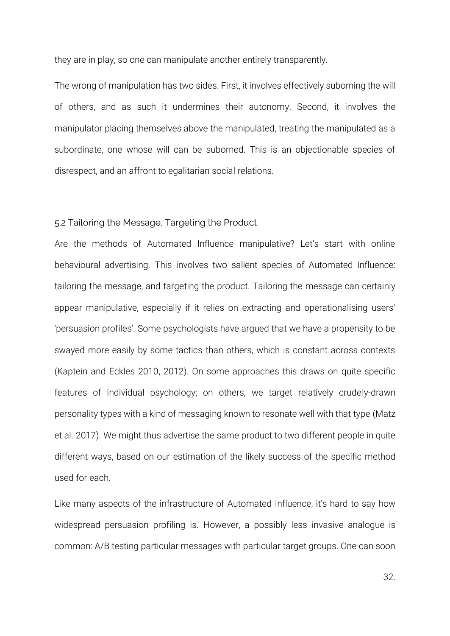they are in play, so one can manipulate another entirely transparently.

The wrong of manipulation has two sides. First, it involves effectively suborning the will of others, and as such it undermines their autonomy. Second, it involves the manipulator placing themselves above the manipulated, treating the manipulated as a subordinate, one whose will can be suborned. This is an objectionable species of disrespect, and an affront to egalitarian social relations.

## 5.2 Tailoring the Message, Targeting the Product

Are the methods of Automated Influence manipulative? Let's start with online behavioural advertising. This involves two salient species of Automated Influence: tailoring the message, and targeting the product. Tailoring the message can certainly appear manipulative, especially if it relies on extracting and operationalising users' 'persuasion profiles'. Some psychologists have argued that we have a propensity to be swayed more easily by some tactics than others, which is constant across contexts [\(Kaptein and Eckles 2010,](#page-47-4) [2012\)](#page-47-3). On some approaches this draws on quite specific features of individual psychology; on others, we target relatively crudely-drawn personality types with a kind of messaging known to resonate well with that type [\(Matz](#page-47-15)  et al. 2017). We might thus advertise the same product to two different people in quite different ways, based on our estimation of the likely success of the specific method used for each.

Like many aspects of the infrastructure of Automated Influence, it's hard to say how widespread persuasion profiling is. However, a possibly less invasive analogue is common: A/B testing particular messages with particular target groups. One can soon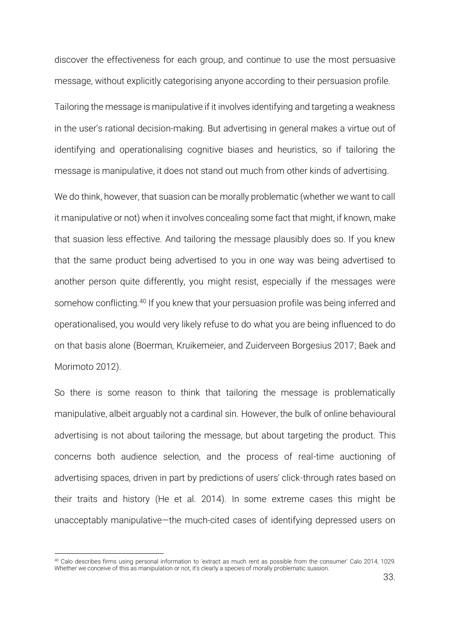discover the effectiveness for each group, and continue to use the most persuasive message, without explicitly categorising anyone according to their persuasion profile.

Tailoring the message is manipulative if it involves identifying and targeting a weakness in the user's rational decision-making. But advertising in general makes a virtue out of identifying and operationalising cognitive biases and heuristics, so if tailoring the message is manipulative, it does not stand out much from other kinds of advertising.

We do think, however, that suasion can be morally problematic (whether we want to call it manipulative or not) when it involves concealing some fact that might, if known, make that suasion less effective. And tailoring the message plausibly does so. If you knew that the same product being advertised to you in one way was being advertised to another person quite differently, you might resist, especially if the messages were somehow conflicting.<sup>40</sup> If you knew that your persuasion profile was being inferred and operationalised, you would very likely refuse to do what you are being influenced to do on that basis alone [\(Boerman, Kruikemeier, and Zuiderveen Borgesius 2017;](#page-46-11) [Baek and](#page-46-21)  [Morimoto 2012\)](#page-46-21).

So there is some reason to think that tailoring the message is problematically manipulative, albeit arguably not a cardinal sin. However, the bulk of online behavioural advertising is not about tailoring the message, but about targeting the product. This concerns both audience selection, and the process of real-time auctioning of advertising spaces, driven in part by predictions of users' click-through rates based on their traits and history [\(He et al. 2014\)](#page-47-16). In some extreme cases this might be unacceptably manipulative—the much-cited cases of identifying depressed users on

<sup>40</sup> Calo describes firms using personal information to 'extract as much rent as possible from the consumer' [Calo 2014, 1029.](#page-46-4) Whether we conceive of this as manipulation or not, it's clearly a species of morally problematic suasion.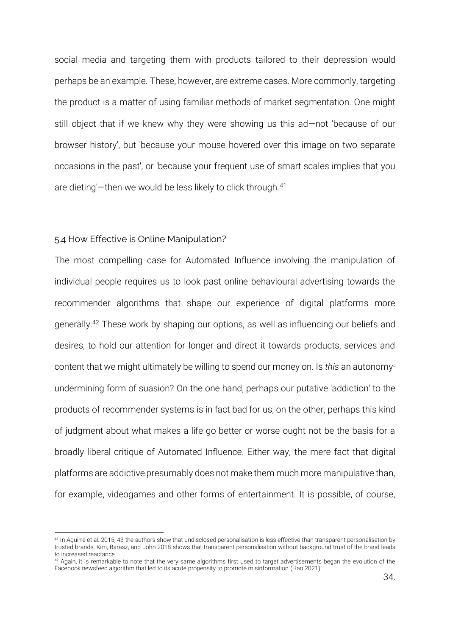social media and targeting them with products tailored to their depression would perhaps be an example. These, however, are extreme cases. More commonly, targeting the product is a matter of using familiar methods of market segmentation. One might still object that if we knew why they were showing us this ad—not 'because of our browser history', but 'because your mouse hovered over this image on two separate occasions in the past', or 'because your frequent use of smart scales implies that you are dieting'—then we would be less likely to click through.<sup>41</sup>

## 5.4 How Effective is Online Manipulation?

The most compelling case for Automated Influence involving the manipulation of individual people requires us to look past online behavioural advertising towards the recommender algorithms that shape our experience of digital platforms more generally.<sup>42</sup> These work by shaping our options, as well as influencing our beliefs and desires, to hold our attention for longer and direct it towards products, services and content that we might ultimately be willing to spend our money on. Is *this* an autonomyundermining form of suasion? On the one hand, perhaps our putative 'addiction' to the products of recommender systems is in fact bad for us; on the other, perhaps this kind of judgment about what makes a life go better or worse ought not be the basis for a broadly liberal critique of Automated Influence. Either way, the mere fact that digital platforms are addictive presumably does not make them much more manipulative than, for example, videogames and other forms of entertainment. It is possible, of course,

<sup>41</sup> I[n Aguirre et al. 2015, 43](#page-46-22) the authors show that undisclosed personalisation is less effective than transparent personalisation by trusted brands[; Kim, Barasz, and John 2018](#page-47-17) shows that transparent personalisation without background trust of the brand leads to increased reactance.

 $42$  Again, it is remarkable to note that the very same algorithms first used to target advertisements began the evolution of the Facebook newsfeed algorithm that led to its acute propensity to promote misinformation [\(Hao 2021\)](#page-46-0).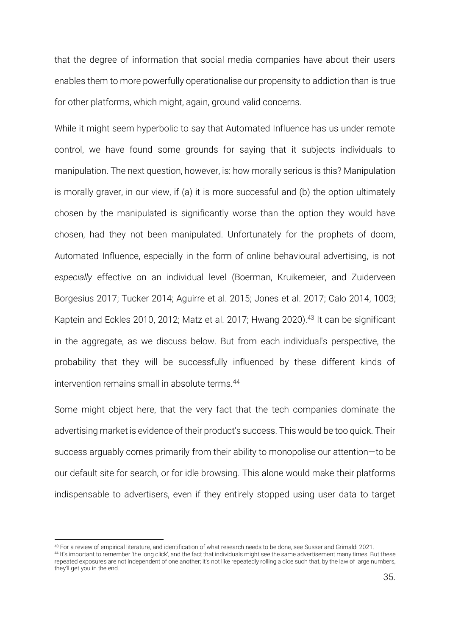that the degree of information that social media companies have about their users enables them to more powerfully operationalise our propensity to addiction than is true for other platforms, which might, again, ground valid concerns.

While it might seem hyperbolic to say that Automated Influence has us under remote control, we have found some grounds for saying that it subjects individuals to manipulation. The next question, however, is: how morally serious is this? Manipulation is morally graver, in our view, if (a) it is more successful and (b) the option ultimately chosen by the manipulated is significantly worse than the option they would have chosen, had they not been manipulated. Unfortunately for the prophets of doom, Automated Influence, especially in the form of online behavioural advertising, is not *especially* effective on an individual level [\(Boerman, Kruikemeier, and Zuiderveen](#page-46-11)  [Borgesius 2017;](#page-46-11) [Tucker 2014;](#page-48-18) [Aguirre et al. 2015;](#page-46-22) [Jones et al. 2017;](#page-47-18) [Calo 2014, 1003;](#page-46-4) [Kaptein and Eckles 2010,](#page-47-4) [2012;](#page-47-3) [Matz et al. 2017;](#page-47-15) [Hwang 2020\)](#page-47-19). <sup>43</sup> It can be significant in the aggregate, as we discuss below. But from each individual's perspective, the probability that they will be successfully influenced by these different kinds of intervention remains small in absolute terms.<sup>44</sup>

Some might object here, that the very fact that the tech companies dominate the advertising market is evidence of their product's success. This would be too quick. Their success arguably comes primarily from their ability to monopolise our attention—to be our default site for search, or for idle browsing. This alone would make their platforms indispensable to advertisers, even if they entirely stopped using user data to target

<sup>43</sup> For a review of empirical literature, and identification of what research needs to be done, se[e Susser and Grimaldi 2021.](#page-48-2)

<sup>44</sup> It's important to remember 'the long click', and the fact that individuals might see the same advertisement many times. But these repeated exposures are not independent of one another; it's not like repeatedly rolling a dice such that, by the law of large numbers, they'll get you in the end.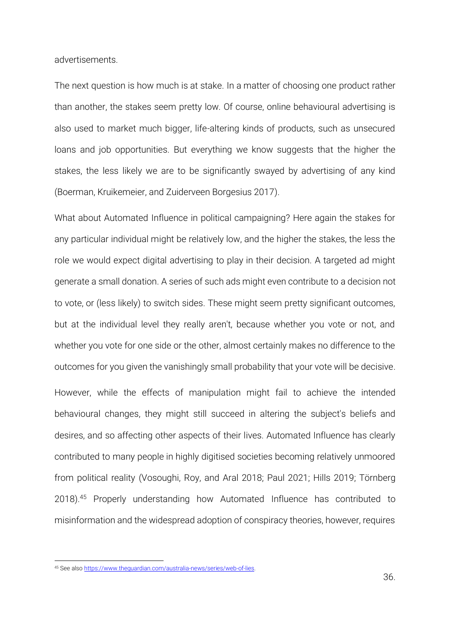advertisements.

The next question is how much is at stake. In a matter of choosing one product rather than another, the stakes seem pretty low. Of course, online behavioural advertising is also used to market much bigger, life-altering kinds of products, such as unsecured loans and job opportunities. But everything we know suggests that the higher the stakes, the less likely we are to be significantly swayed by advertising of any kind [\(Boerman, Kruikemeier, and Zuiderveen Borgesius 2017\)](#page-46-11).

What about Automated Influence in political campaigning? Here again the stakes for any particular individual might be relatively low, and the higher the stakes, the less the role we would expect digital advertising to play in their decision. A targeted ad might generate a small donation. A series of such ads might even contribute to a decision not to vote, or (less likely) to switch sides. These might seem pretty significant outcomes, but at the individual level they really aren't, because whether you vote or not, and whether you vote for one side or the other, almost certainly makes no difference to the outcomes for you given the vanishingly small probability that your vote will be decisive. However, while the effects of manipulation might fail to achieve the intended behavioural changes, they might still succeed in altering the subject's beliefs and desires, and so affecting other aspects of their lives. Automated Influence has clearly contributed to many people in highly digitised societies becoming relatively unmoored from political reality [\(Vosoughi, Roy, and Aral 2018;](#page-48-19) [Paul 2021;](#page-47-20) [Hills 2019;](#page-47-21) [Törnberg](#page-48-20)  [2018\)](#page-48-20). <sup>45</sup> Properly understanding how Automated Influence has contributed to misinformation and the widespread adoption of conspiracy theories, however, requires

<sup>45</sup> See als[o https://www.theguardian.com/australia-news/series/web-of-lies.](https://www.theguardian.com/australia-news/series/web-of-lies)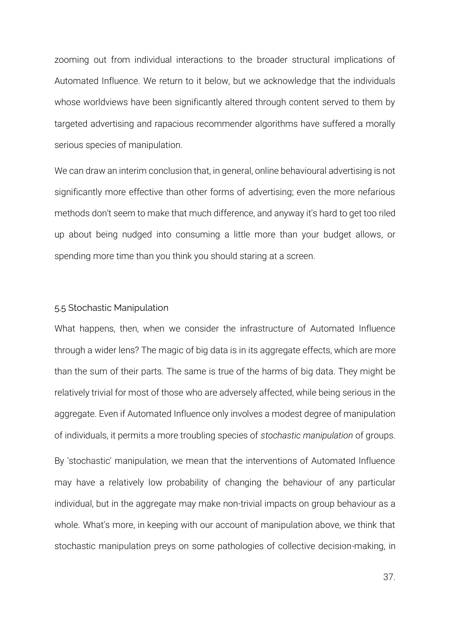zooming out from individual interactions to the broader structural implications of Automated Influence. We return to it below, but we acknowledge that the individuals whose worldviews have been significantly altered through content served to them by targeted advertising and rapacious recommender algorithms have suffered a morally serious species of manipulation.

We can draw an interim conclusion that, in general, online behavioural advertising is not significantly more effective than other forms of advertising; even the more nefarious methods don't seem to make that much difference, and anyway it's hard to get too riled up about being nudged into consuming a little more than your budget allows, or spending more time than you think you should staring at a screen.

#### 5.5 Stochastic Manipulation

What happens, then, when we consider the infrastructure of Automated Influence through a wider lens? The magic of big data is in its aggregate effects, which are more than the sum of their parts. The same is true of the harms of big data. They might be relatively trivial for most of those who are adversely affected, while being serious in the aggregate. Even if Automated Influence only involves a modest degree of manipulation of individuals, it permits a more troubling species of *stochastic manipulation* of groups. By 'stochastic' manipulation, we mean that the interventions of Automated Influence may have a relatively low probability of changing the behaviour of any particular individual, but in the aggregate may make non-trivial impacts on group behaviour as a whole. What's more, in keeping with our account of manipulation above, we think that stochastic manipulation preys on some pathologies of collective decision-making, in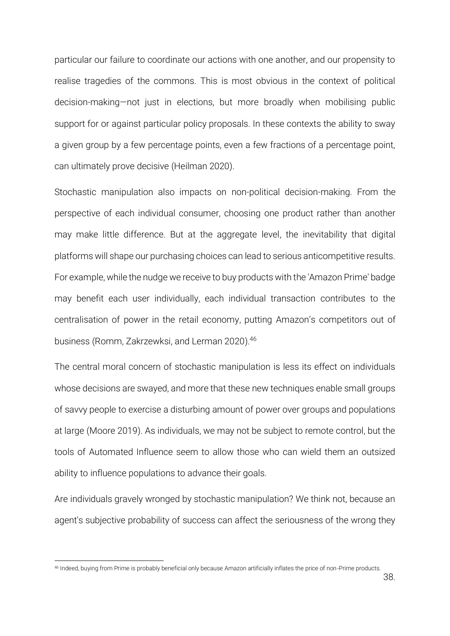particular our failure to coordinate our actions with one another, and our propensity to realise tragedies of the commons. This is most obvious in the context of political decision-making—not just in elections, but more broadly when mobilising public support for or against particular policy proposals. In these contexts the ability to sway a given group by a few percentage points, even a few fractions of a percentage point, can ultimately prove decisive [\(Heilman 2020\)](#page-47-22).

Stochastic manipulation also impacts on non-political decision-making. From the perspective of each individual consumer, choosing one product rather than another may make little difference. But at the aggregate level, the inevitability that digital platforms will shape our purchasing choices can lead to serious anticompetitive results. For example, while the nudge we receive to buy products with the 'Amazon Prime' badge may benefit each user individually, each individual transaction contributes to the centralisation of power in the retail economy, putting Amazon's competitors out of business [\(Romm, Zakrzewksi, and Lerman 2020\)](#page-48-21). 46

The central moral concern of stochastic manipulation is less its effect on individuals whose decisions are swayed, and more that these new techniques enable small groups of savvy people to exercise a disturbing amount of power over groups and populations at large [\(Moore 2019\)](#page-47-23). As individuals, we may not be subject to remote control, but the tools of Automated Influence seem to allow those who can wield them an outsized ability to influence populations to advance their goals.

Are individuals gravely wronged by stochastic manipulation? We think not, because an agent's subjective probability of success can affect the seriousness of the wrong they

<sup>46</sup> Indeed, buying from Prime is probably beneficial only because Amazon artificially inflates the price of non-Prime products.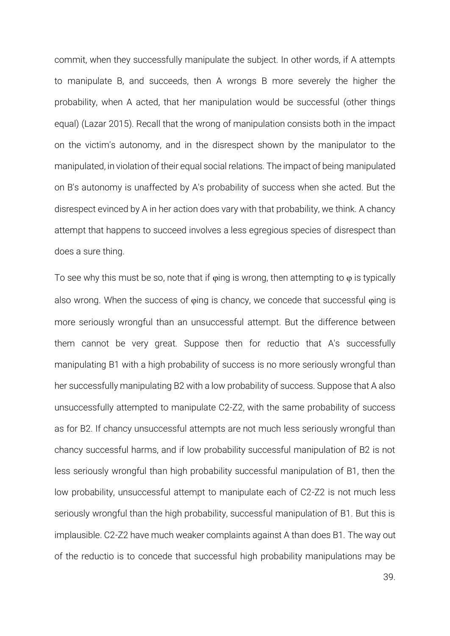commit, when they successfully manipulate the subject. In other words, if A attempts to manipulate B, and succeeds, then A wrongs B more severely the higher the probability, when A acted, that her manipulation would be successful (other things equal) [\(Lazar 2015\)](#page-47-24). Recall that the wrong of manipulation consists both in the impact on the victim's autonomy, and in the disrespect shown by the manipulator to the manipulated, in violation of their equal social relations. The impact of being manipulated on B's autonomy is unaffected by A's probability of success when she acted. But the disrespect evinced by A in her action does vary with that probability, we think. A chancy attempt that happens to succeed involves a less egregious species of disrespect than does a sure thing.

To see why this must be so, note that if  $\varphi$ ing is wrong, then attempting to  $\varphi$  is typically also wrong. When the success of  $\varphi$ ing is chancy, we concede that successful  $\varphi$ ing is more seriously wrongful than an unsuccessful attempt. But the difference between them cannot be very great. Suppose then for reductio that A's successfully manipulating B1 with a high probability of success is no more seriously wrongful than her successfully manipulating B2 with a low probability of success. Suppose that A also unsuccessfully attempted to manipulate C2-Z2, with the same probability of success as for B2. If chancy unsuccessful attempts are not much less seriously wrongful than chancy successful harms, and if low probability successful manipulation of B2 is not less seriously wrongful than high probability successful manipulation of B1, then the low probability, unsuccessful attempt to manipulate each of C2-Z2 is not much less seriously wrongful than the high probability, successful manipulation of B1. But this is implausible. C2-Z2 have much weaker complaints against A than does B1. The way out of the reductio is to concede that successful high probability manipulations may be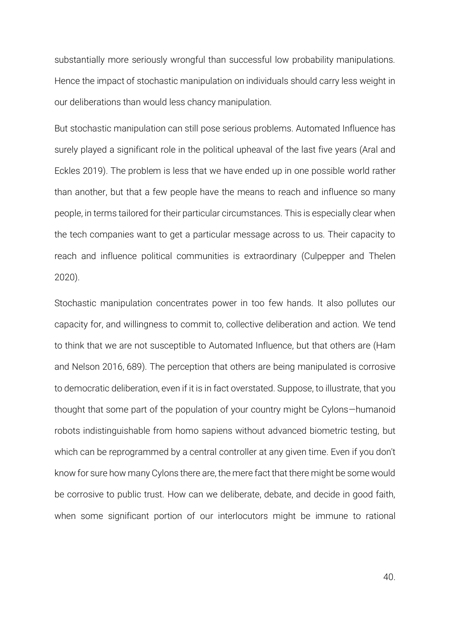substantially more seriously wrongful than successful low probability manipulations. Hence the impact of stochastic manipulation on individuals should carry less weight in our deliberations than would less chancy manipulation.

But stochastic manipulation can still pose serious problems. Automated Influence has surely played a significant role in the political upheaval of the last five years [\(Aral and](#page-46-23)  Eckles 2019). The problem is less that we have ended up in one possible world rather than another, but that a few people have the means to reach and influence so many people, in terms tailored for their particular circumstances. This is especially clear when the tech companies want to get a particular message across to us. Their capacity to reach and influence political communities is extraordinary [\(Culpepper and Thelen](#page-46-17)  2020).

Stochastic manipulation concentrates power in too few hands. It also pollutes our capacity for, and willingness to commit to, collective deliberation and action. We tend to think that we are not susceptible to Automated Influence, but that others are [\(Ham](#page-46-24)  and Nelson 2016, 689). The perception that others are being manipulated is corrosive to democratic deliberation, even if it is in fact overstated. Suppose, to illustrate, that you thought that some part of the population of your country might be Cylons—humanoid robots indistinguishable from homo sapiens without advanced biometric testing, but which can be reprogrammed by a central controller at any given time. Even if you don't know for sure how many Cylons there are, the mere fact that there might be some would be corrosive to public trust. How can we deliberate, debate, and decide in good faith, when some significant portion of our interlocutors might be immune to rational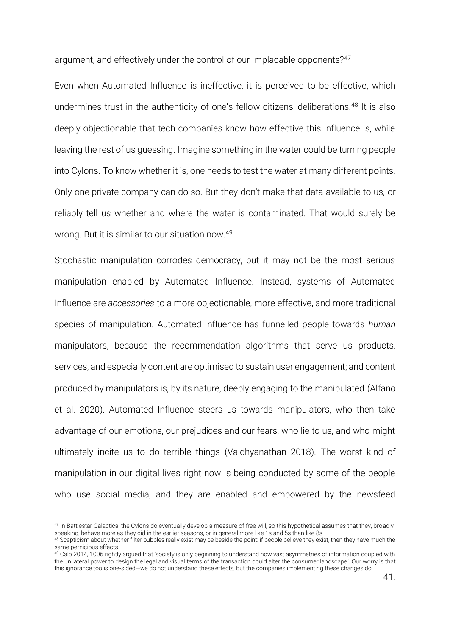argument, and effectively under the control of our implacable opponents?<sup>47</sup>

Even when Automated Influence is ineffective, it is perceived to be effective, which undermines trust in the authenticity of one's fellow citizens' deliberations.<sup>48</sup> It is also deeply objectionable that tech companies know how effective this influence is, while leaving the rest of us guessing. Imagine something in the water could be turning people into Cylons. To know whether it is, one needs to test the water at many different points. Only one private company can do so. But they don't make that data available to us, or reliably tell us whether and where the water is contaminated. That would surely be wrong. But it is similar to our situation now.<sup>49</sup>

Stochastic manipulation corrodes democracy, but it may not be the most serious manipulation enabled by Automated Influence. Instead, systems of Automated Influence are *accessories* to a more objectionable, more effective, and more traditional species of manipulation. Automated Influence has funnelled people towards *human* manipulators, because the recommendation algorithms that serve us products, services, and especially content are optimised to sustain user engagement; and content produced by manipulators is, by its nature, deeply engaging to the manipulated [\(Alfano](#page-46-25)  et al. 2020). Automated Influence steers us towards manipulators, who then take advantage of our emotions, our prejudices and our fears, who lie to us, and who might ultimately incite us to do terrible things [\(Vaidhyanathan 2018\)](#page-48-22). The worst kind of manipulation in our digital lives right now is being conducted by some of the people who use social media, and they are enabled and empowered by the newsfeed

<sup>47</sup> In Battlestar Galactica, the Cylons do eventually develop a measure of free will, so this hypothetical assumes that they, broadlyspeaking, behave more as they did in the earlier seasons, or in general more like 1s and 5s than like 8s.

<sup>48</sup> Scepticism about whether filter bubbles really exist may be beside the point: if people believe they exist, then they have much the same pernicious effects.

<sup>49</sup> [Calo 2014, 1006](#page-46-4) rightly argued that 'society is only beginning to understand how vast asymmetries of information coupled with the unilateral power to design the legal and visual terms of the transaction could alter the consumer landscape'. Our worry is that this ignorance too is one-sided—we do not understand these effects, but the companies implementing these changes do.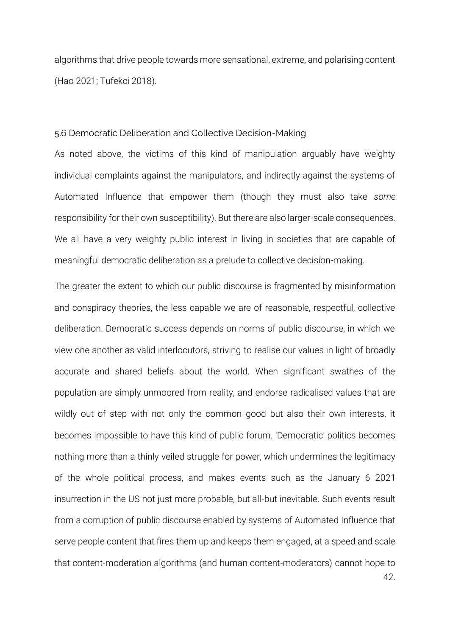algorithms that drive people towards more sensational, extreme, and polarising content [\(Hao 2021;](#page-46-0) [Tufekci 2018\)](#page-48-23).

#### 5.6 Democratic Deliberation and Collective Decision-Making

As noted above, the victims of this kind of manipulation arguably have weighty individual complaints against the manipulators, and indirectly against the systems of Automated Influence that empower them (though they must also take *some* responsibility for their own susceptibility). But there are also larger-scale consequences. We all have a very weighty public interest in living in societies that are capable of meaningful democratic deliberation as a prelude to collective decision-making.

42. The greater the extent to which our public discourse is fragmented by misinformation and conspiracy theories, the less capable we are of reasonable, respectful, collective deliberation. Democratic success depends on norms of public discourse, in which we view one another as valid interlocutors, striving to realise our values in light of broadly accurate and shared beliefs about the world. When significant swathes of the population are simply unmoored from reality, and endorse radicalised values that are wildly out of step with not only the common good but also their own interests, it becomes impossible to have this kind of public forum. 'Democratic' politics becomes nothing more than a thinly veiled struggle for power, which undermines the legitimacy of the whole political process, and makes events such as the January 6 2021 insurrection in the US not just more probable, but all-but inevitable. Such events result from a corruption of public discourse enabled by systems of Automated Influence that serve people content that fires them up and keeps them engaged, at a speed and scale that content-moderation algorithms (and human content-moderators) cannot hope to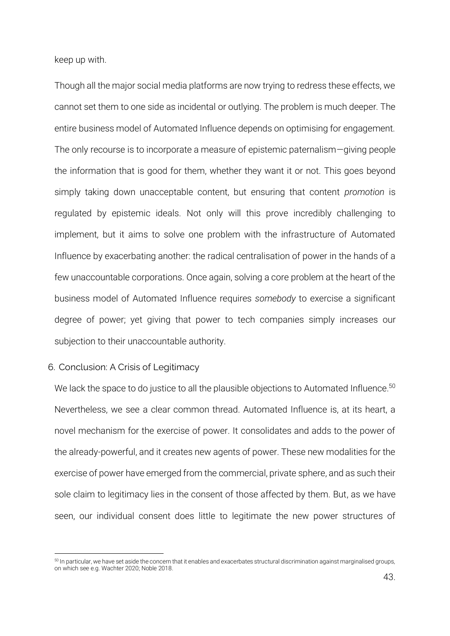keep up with.

Though all the major social media platforms are now trying to redress these effects, we cannot set them to one side as incidental or outlying. The problem is much deeper. The entire business model of Automated Influence depends on optimising for engagement. The only recourse is to incorporate a measure of epistemic paternalism—giving people the information that is good for them, whether they want it or not. This goes beyond simply taking down unacceptable content, but ensuring that content *promotion* is regulated by epistemic ideals. Not only will this prove incredibly challenging to implement, but it aims to solve one problem with the infrastructure of Automated Influence by exacerbating another: the radical centralisation of power in the hands of a few unaccountable corporations. Once again, solving a core problem at the heart of the business model of Automated Influence requires *somebody* to exercise a significant degree of power; yet giving that power to tech companies simply increases our subjection to their unaccountable authority.

#### 6. Conclusion: A Crisis of Legitimacy

We lack the space to do justice to all the plausible objections to Automated Influence. $^{\rm 50}$ Nevertheless, we see a clear common thread. Automated Influence is, at its heart, a novel mechanism for the exercise of power. It consolidates and adds to the power of the already-powerful, and it creates new agents of power. These new modalities for the exercise of power have emerged from the commercial, private sphere, and as such their sole claim to legitimacy lies in the consent of those affected by them. But, as we have seen, our individual consent does little to legitimate the new power structures of

<sup>50</sup> In particular, we have set aside the concern that it enables and exacerbates structural discrimination against marginalised groups, on which see e.g[. Wachter 2020;](#page-48-24) [Noble 2018.](#page-47-12)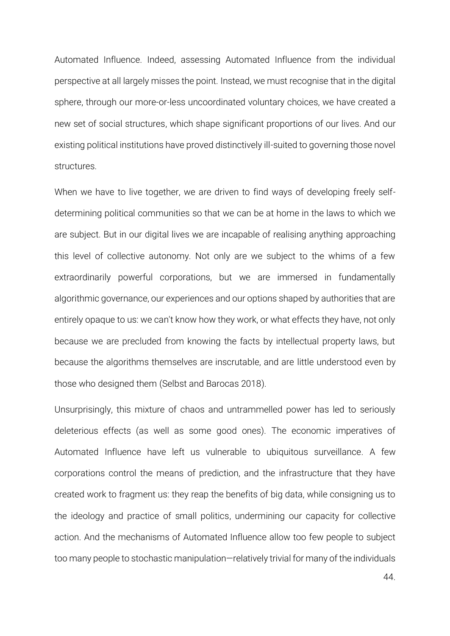Automated Influence. Indeed, assessing Automated Influence from the individual perspective at all largely misses the point. Instead, we must recognise that in the digital sphere, through our more-or-less uncoordinated voluntary choices, we have created a new set of social structures, which shape significant proportions of our lives. And our existing political institutions have proved distinctively ill-suited to governing those novel structures.

When we have to live together, we are driven to find ways of developing freely selfdetermining political communities so that we can be at home in the laws to which we are subject. But in our digital lives we are incapable of realising anything approaching this level of collective autonomy. Not only are we subject to the whims of a few extraordinarily powerful corporations, but we are immersed in fundamentally algorithmic governance, our experiences and our options shaped by authorities that are entirely opaque to us: we can't know how they work, or what effects they have, not only because we are precluded from knowing the facts by intellectual property laws, but because the algorithms themselves are inscrutable, and are little understood even by those who designed them [\(Selbst and Barocas 2018\)](#page-48-25).

Unsurprisingly, this mixture of chaos and untrammelled power has led to seriously deleterious effects (as well as some good ones). The economic imperatives of Automated Influence have left us vulnerable to ubiquitous surveillance. A few corporations control the means of prediction, and the infrastructure that they have created work to fragment us: they reap the benefits of big data, while consigning us to the ideology and practice of small politics, undermining our capacity for collective action. And the mechanisms of Automated Influence allow too few people to subject too many people to stochastic manipulation—relatively trivial for many of the individuals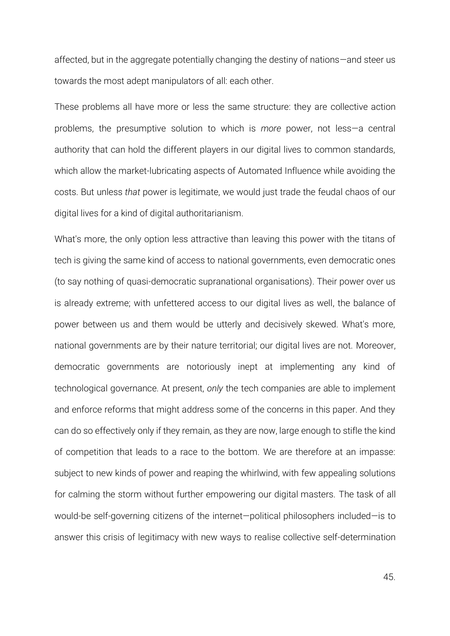affected, but in the aggregate potentially changing the destiny of nations—and steer us towards the most adept manipulators of all: each other.

These problems all have more or less the same structure: they are collective action problems, the presumptive solution to which is *more* power, not less—a central authority that can hold the different players in our digital lives to common standards, which allow the market-lubricating aspects of Automated Influence while avoiding the costs. But unless *that* power is legitimate, we would just trade the feudal chaos of our digital lives for a kind of digital authoritarianism.

What's more, the only option less attractive than leaving this power with the titans of tech is giving the same kind of access to national governments, even democratic ones (to say nothing of quasi-democratic supranational organisations). Their power over us is already extreme; with unfettered access to our digital lives as well, the balance of power between us and them would be utterly and decisively skewed. What's more, national governments are by their nature territorial; our digital lives are not. Moreover, democratic governments are notoriously inept at implementing any kind of technological governance. At present, *only* the tech companies are able to implement and enforce reforms that might address some of the concerns in this paper. And they can do so effectively only if they remain, as they are now, large enough to stifle the kind of competition that leads to a race to the bottom. We are therefore at an impasse: subject to new kinds of power and reaping the whirlwind, with few appealing solutions for calming the storm without further empowering our digital masters. The task of all would-be self-governing citizens of the internet—political philosophers included—is to answer this crisis of legitimacy with new ways to realise collective self-determination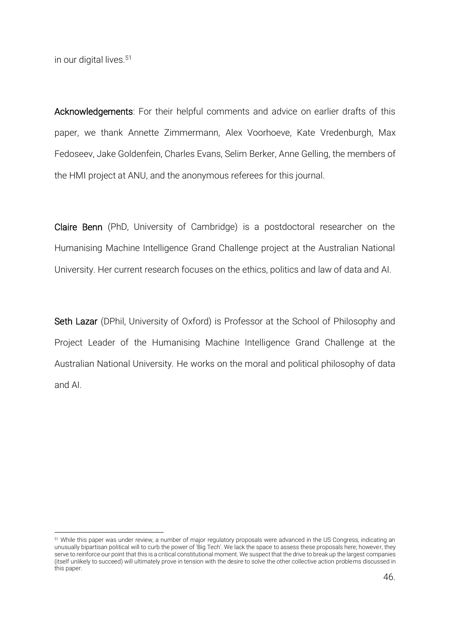in our digital lives.<sup>51</sup>

Acknowledgements: For their helpful comments and advice on earlier drafts of this paper, we thank Annette Zimmermann, Alex Voorhoeve, Kate Vredenburgh, Max Fedoseev, Jake Goldenfein, Charles Evans, Selim Berker, Anne Gelling, the members of the HMI project at ANU, and the anonymous referees for this journal.

Claire Benn (PhD, University of Cambridge) is a postdoctoral researcher on the Humanising Machine Intelligence Grand Challenge project at the Australian National University. Her current research focuses on the ethics, politics and law of data and AI.

Seth Lazar (DPhil, University of Oxford) is Professor at the School of Philosophy and Project Leader of the Humanising Machine Intelligence Grand Challenge at the Australian National University. He works on the moral and political philosophy of data and AI.

<sup>51</sup> While this paper was under review, a number of major regulatory proposals were advanced in the US Congress, indicating an unusually bipartisan political will to curb the power of 'Big Tech'. We lack the space to assess these proposals here; however, they serve to reinforce our point that this is a critical constitutional moment. We suspect that the drive to break up the largest companies (itself unlikely to succeed) will ultimately prove in tension with the desire to solve the other collective action problems discussed in this paper.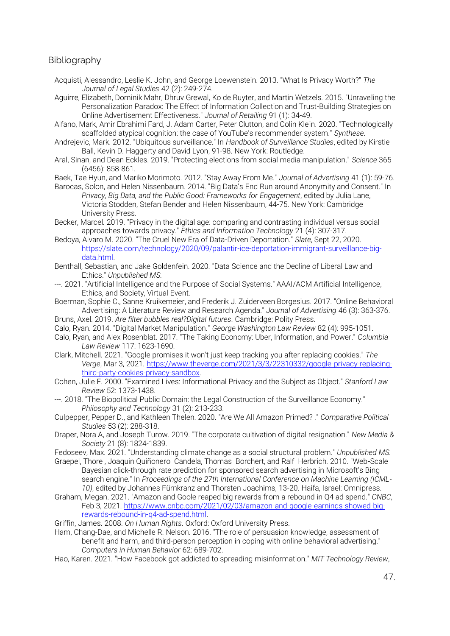#### Bibliography

<span id="page-46-10"></span>Acquisti, Alessandro, Leslie K. John, and George Loewenstein. 2013. "What Is Privacy Worth?" *The Journal of Legal Studies* 42 (2): 249-274.

<span id="page-46-22"></span>Aguirre, Elizabeth, Dominik Mahr, Dhruv Grewal, Ko de Ruyter, and Martin Wetzels. 2015. "Unraveling the Personalization Paradox: The Effect of Information Collection and Trust-Building Strategies on Online Advertisement Effectiveness." *Journal of Retailing* 91 (1): 34-49.

<span id="page-46-25"></span>Alfano, Mark, Amir Ebrahimi Fard, J. Adam Carter, Peter Clutton, and Colin Klein. 2020. "Technologically scaffolded atypical cognition: the case of YouTube's recommender system." *Synthese*.

- <span id="page-46-13"></span>Andrejevic, Mark. 2012. "Ubiquitous surveillance." In *Handbook of Surveillance Studies*, edited by Kirstie Ball, Kevin D. Haggerty and David Lyon, 91-98. New York: Routledge.
- <span id="page-46-23"></span>Aral, Sinan, and Dean Eckles. 2019. "Protecting elections from social media manipulation." *Science* 365 (6456): 858-861.

<span id="page-46-21"></span>Baek, Tae Hyun, and Mariko Morimoto. 2012. "Stay Away From Me." *Journal of Advertising* 41 (1): 59-76.

<span id="page-46-7"></span>Barocas, Solon, and Helen Nissenbaum. 2014. "Big Data's End Run around Anonymity and Consent." In *Privacy, Big Data, and the Public Good: Frameworks for Engagement*, edited by Julia Lane, Victoria Stodden, Stefan Bender and Helen Nissenbaum, 44-75. New York: Cambridge University Press.

<span id="page-46-20"></span>Becker, Marcel. 2019. "Privacy in the digital age: comparing and contrasting individual versus social approaches towards privacy." *Ethics and Information Technology* 21 (4): 307-317.

- <span id="page-46-14"></span>Bedoya, Alvaro M. 2020. "The Cruel New Era of Data-Driven Deportation." *Slate*, Sept 22, 2020. [https://slate.com/technology/2020/09/palantir-ice-deportation-immigrant-surveillance-big](https://slate.com/technology/2020/09/palantir-ice-deportation-immigrant-surveillance-big-data.html)[data.html.](https://slate.com/technology/2020/09/palantir-ice-deportation-immigrant-surveillance-big-data.html)
- <span id="page-46-1"></span>Benthall, Sebastian, and Jake Goldenfein. 2020. "Data Science and the Decline of Liberal Law and Ethics." *Unpublished MS.*
- <span id="page-46-9"></span>---. 2021. "Artificial Intelligence and the Purpose of Social Systems." AAAI/ACM Artificial Intelligence, Ethics, and Society, Virtual Event.
- <span id="page-46-11"></span>Boerman, Sophie C., Sanne Kruikemeier, and Frederik J. Zuiderveen Borgesius. 2017. "Online Behavioral Advertising: A Literature Review and Research Agenda." *Journal of Advertising* 46 (3): 363-376.
- <span id="page-46-19"></span>Bruns, Axel. 2019. *Are filter bubbles real?Digital futures*. Cambridge: Polity Press.
- <span id="page-46-16"></span><span id="page-46-4"></span>Calo, Ryan. 2014. "Digital Market Manipulation." *George Washington Law Review* 82 (4): 995-1051. Calo, Ryan, and Alex Rosenblat. 2017. "The Taking Economy: Uber, Information, and Power." *Columbia*

*Law Review* 117: 1623-1690.

- <span id="page-46-12"></span>Clark, Mitchell. 2021. "Google promises it won't just keep tracking you after replacing cookies." *The Verge*, Mar 3, 2021. [https://www.theverge.com/2021/3/3/22310332/google-privacy-replacing](https://www.theverge.com/2021/3/3/22310332/google-privacy-replacing-third-party-cookies-privacy-sandbox)[third-party-cookies-privacy-sandbox.](https://www.theverge.com/2021/3/3/22310332/google-privacy-replacing-third-party-cookies-privacy-sandbox)
- <span id="page-46-8"></span>Cohen, Julie E. 2000. "Examined Lives: Informational Privacy and the Subject as Object." *Stanford Law Review* 52: 1373-1438.
- <span id="page-46-6"></span>---. 2018. "The Biopolitical Public Domain: the Legal Construction of the Surveillance Economy." *Philosophy and Technology* 31 (2): 213-233.
- <span id="page-46-17"></span>Culpepper, Pepper D., and Kathleen Thelen. 2020. "Are We All Amazon Primed? ." *Comparative Political Studies* 53 (2): 288-318.
- <span id="page-46-18"></span>Draper, Nora A, and Joseph Turow. 2019. "The corporate cultivation of digital resignation." *New Media & Society* 21 (8): 1824-1839.
- <span id="page-46-2"></span>Fedoseev, Max. 2021. "Understanding climate change as a social structural problem." *Unpublished MS.*
- <span id="page-46-5"></span>Graepel, Thore , Joaquin Quiñonero Candela, Thomas Borchert, and Ralf Herbrich. 2010. "Web-Scale Bayesian click-through rate prediction for sponsored search advertising in Microsoft's Bing search engine." In *Proceedings of the 27th International Conference on Machine Learning (ICML-10)*, edited by Johannes Fürnkranz and Thorsten Joachims, 13-20. Haifa, Israel: Omnipress.
- <span id="page-46-15"></span>Graham, Megan. 2021. "Amazon and Goole reaped big rewards from a rebound in Q4 ad spend." *CNBC*, Feb 3, 2021[. https://www.cnbc.com/2021/02/03/amazon-and-google-earnings-showed-big](https://www.cnbc.com/2021/02/03/amazon-and-google-earnings-showed-big-rewards-rebound-in-q4-ad-spend.html)[rewards-rebound-in-q4-ad-spend.html.](https://www.cnbc.com/2021/02/03/amazon-and-google-earnings-showed-big-rewards-rebound-in-q4-ad-spend.html)
- <span id="page-46-3"></span>Griffin, James. 2008. *On Human Rights*. Oxford: Oxford University Press.
- <span id="page-46-24"></span>Ham, Chang-Dae, and Michelle R. Nelson. 2016. "The role of persuasion knowledge, assessment of benefit and harm, and third-person perception in coping with online behavioral advertising." *Computers in Human Behavior* 62: 689-702.
- <span id="page-46-0"></span>Hao, Karen. 2021. "How Facebook got addicted to spreading misinformation." *MIT Technology Review*,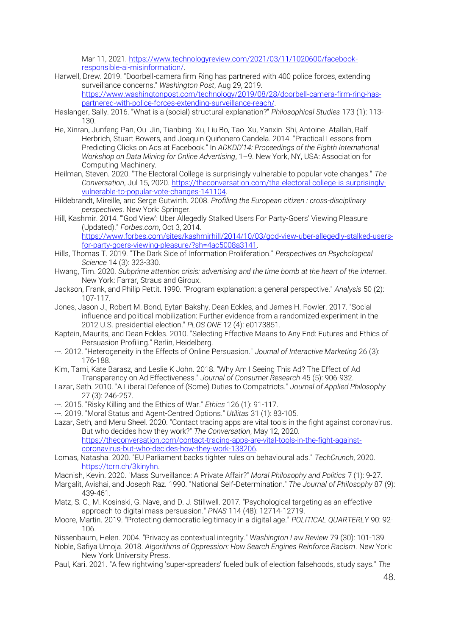Mar 11, 2021. [https://www.technologyreview.com/2021/03/11/1020600/facebook](https://www.technologyreview.com/2021/03/11/1020600/facebook-responsible-ai-misinformation/)[responsible-ai-misinformation/.](https://www.technologyreview.com/2021/03/11/1020600/facebook-responsible-ai-misinformation/)

- <span id="page-47-10"></span>Harwell, Drew. 2019. "Doorbell-camera firm Ring has partnered with 400 police forces, extending surveillance concerns." *Washington Post*, Aug 29, 2019. [https://www.washingtonpost.com/technology/2019/08/28/doorbell-camera-firm-ring-has](https://www.washingtonpost.com/technology/2019/08/28/doorbell-camera-firm-ring-has-partnered-with-police-forces-extending-surveillance-reach/)[partnered-with-police-forces-extending-surveillance-reach/.](https://www.washingtonpost.com/technology/2019/08/28/doorbell-camera-firm-ring-has-partnered-with-police-forces-extending-surveillance-reach/)
- <span id="page-47-1"></span>Haslanger, Sally. 2016. "What is a (social) structural explanation?" *Philosophical Studies* 173 (1): 113- 130.
- <span id="page-47-16"></span>He, Xinran, Junfeng Pan, Ou Jin, Tianbing Xu, Liu Bo, Tao Xu, Yanxin Shi, Antoine Atallah, Ralf Herbrich, Stuart Bowers, and Joaquin Quiñonero Candela. 2014. "Practical Lessons from Predicting Clicks on Ads at Facebook." In *ADKDD'14: Proceedings of the Eighth International Workshop on Data Mining for Online Advertising*, 1–9. New York, NY, USA: Association for Computing Machinery.
- <span id="page-47-22"></span>Heilman, Steven. 2020. "The Electoral College is surprisingly vulnerable to popular vote changes." *The Conversation*, Jul 15, 2020[. https://theconversation.com/the-electoral-college-is-surprisingly](https://theconversation.com/the-electoral-college-is-surprisingly-vulnerable-to-popular-vote-changes-141104)[vulnerable-to-popular-vote-changes-141104.](https://theconversation.com/the-electoral-college-is-surprisingly-vulnerable-to-popular-vote-changes-141104)
- <span id="page-47-5"></span>Hildebrandt, Mireille, and Serge Gutwirth. 2008. *Profiling the European citizen : cross-disciplinary perspectives*. New York: Springer.
- <span id="page-47-11"></span>Hill, Kashmir. 2014. "'God View': Uber Allegedly Stalked Users For Party-Goers' Viewing Pleasure (Updated)." *Forbes.com*, Oct 3, 2014. [https://www.forbes.com/sites/kashmirhill/2014/10/03/god-view-uber-allegedly-stalked-users](https://www.forbes.com/sites/kashmirhill/2014/10/03/god-view-uber-allegedly-stalked-users-for-party-goers-viewing-pleasure/?sh=4ac5008a3141)[for-party-goers-viewing-pleasure/?sh=4ac5008a3141.](https://www.forbes.com/sites/kashmirhill/2014/10/03/god-view-uber-allegedly-stalked-users-for-party-goers-viewing-pleasure/?sh=4ac5008a3141)
- <span id="page-47-21"></span>Hills, Thomas T. 2019. "The Dark Side of Information Proliferation." *Perspectives on Psychological Science* 14 (3): 323-330.
- <span id="page-47-19"></span>Hwang, Tim. 2020. *Subprime attention crisis: advertising and the time bomb at the heart of the internet*. New York: Farrar, Straus and Giroux.
- <span id="page-47-0"></span>Jackson, Frank, and Philip Pettit. 1990. "Program explanation: a general perspective." *Analysis* 50 (2): 107-117.
- <span id="page-47-18"></span>Jones, Jason J., Robert M. Bond, Eytan Bakshy, Dean Eckles, and James H. Fowler. 2017. "Social influence and political mobilization: Further evidence from a randomized experiment in the 2012 U.S. presidential election." *PLOS ONE* 12 (4): e0173851.
- <span id="page-47-4"></span>Kaptein, Maurits, and Dean Eckles. 2010. "Selecting Effective Means to Any End: Futures and Ethics of Persuasion Profiling." Berlin, Heidelberg.
- <span id="page-47-3"></span>---. 2012. "Heterogeneity in the Effects of Online Persuasion." *Journal of Interactive Marketing* 26 (3): 176-188.
- <span id="page-47-17"></span>Kim, Tami, Kate Barasz, and Leslie K John. 2018. "Why Am I Seeing This Ad? The Effect of Ad Transparency on Ad Effectiveness." *Journal of Consumer Research* 45 (5): 906-932.
- <span id="page-47-9"></span>Lazar, Seth. 2010. "A Liberal Defence of (Some) Duties to Compatriots." *Journal of Applied Philosophy* 27 (3): 246-257.
- <span id="page-47-24"></span>---. 2015. "Risky Killing and the Ethics of War." *Ethics* 126 (1): 91-117.
- <span id="page-47-7"></span>---. 2019. "Moral Status and Agent-Centred Options." *Utilitas* 31 (1): 83-105.
- <span id="page-47-13"></span>Lazar, Seth, and Meru Sheel. 2020. "Contact tracing apps are vital tools in the fight against coronavirus. But who decides how they work?" *The Conversation*, May 12, 2020. [https://theconversation.com/contact-tracing-apps-are-vital-tools-in-the-fight-against](https://theconversation.com/contact-tracing-apps-are-vital-tools-in-the-fight-against-coronavirus-but-who-decides-how-they-work-138206)[coronavirus-but-who-decides-how-they-work-138206.](https://theconversation.com/contact-tracing-apps-are-vital-tools-in-the-fight-against-coronavirus-but-who-decides-how-they-work-138206)
- <span id="page-47-14"></span>Lomas, Natasha. 2020. "EU Parliament backs tighter rules on behavioural ads." *TechCrunch*, 2020. [https://tcrn.ch/3kinyhn.](https://tcrn.ch/3kinyhn)
- <span id="page-47-8"></span>Macnish, Kevin. 2020. "Mass Surveillance: A Private Affair?" *Moral Philosophy and Politics* 7 (1): 9-27.
- <span id="page-47-2"></span>Margalit, Avishai, and Joseph Raz. 1990. "National Self-Determination." *The Journal of Philosophy* 87 (9): 439-461.
- <span id="page-47-15"></span>Matz, S. C., M. Kosinski, G. Nave, and D. J. Stillwell. 2017. "Psychological targeting as an effective approach to digital mass persuasion." *PNAS* 114 (48): 12714-12719.
- <span id="page-47-23"></span>Moore, Martin. 2019. "Protecting democratic legitimacy in a digital age." *POLITICAL QUARTERLY* 90: 92- 106.
- <span id="page-47-6"></span>Nissenbaum, Helen. 2004. "Privacy as contextual integrity." *Washington Law Review* 79 (30): 101-139.
- <span id="page-47-12"></span>Noble, Safiya Umoja. 2018. *Algorithms of Oppression: How Search Engines Reinforce Racism*. New York: New York University Press.
- <span id="page-47-20"></span>Paul, Kari. 2021. "A few rightwing 'super-spreaders' fueled bulk of election falsehoods, study says." *The*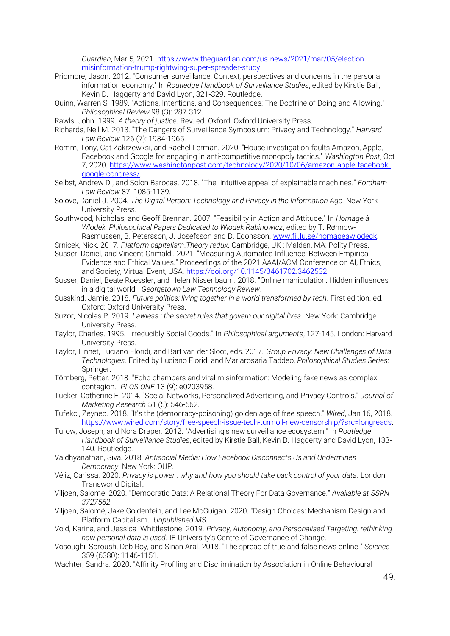*Guardian*, Mar 5, 2021[. https://www.theguardian.com/us-news/2021/mar/05/election](https://www.theguardian.com/us-news/2021/mar/05/election-misinformation-trump-rightwing-super-spreader-study)[misinformation-trump-rightwing-super-spreader-study.](https://www.theguardian.com/us-news/2021/mar/05/election-misinformation-trump-rightwing-super-spreader-study)

- <span id="page-48-7"></span>Pridmore, Jason. 2012. "Consumer surveillance: Context, perspectives and concerns in the personal information economy." In *Routledge Handbook of Surveillance Studies*, edited by Kirstie Ball, Kevin D. Haggerty and David Lyon, 321-329. Routledge.
- <span id="page-48-8"></span>Quinn, Warren S. 1989. "Actions, Intentions, and Consequences: The Doctrine of Doing and Allowing." *Philosophical Review* 98 (3): 287-312.
- <span id="page-48-13"></span>Rawls, John. 1999. *A theory of justice*. Rev. ed. Oxford: Oxford University Press.
- <span id="page-48-10"></span>Richards, Neil M. 2013. "The Dangers of Surveillance Symposium: Privacy and Technology." *Harvard Law Review* 126 (7): 1934-1965.
- <span id="page-48-21"></span>Romm, Tony, Cat Zakrzewksi, and Rachel Lerman. 2020. "House investigation faults Amazon, Apple, Facebook and Google for engaging in anti-competitive monopoly tactics." *Washington Post*, Oct 7, 2020. [https://www.washingtonpost.com/technology/2020/10/06/amazon-apple-facebook](https://www.washingtonpost.com/technology/2020/10/06/amazon-apple-facebook-google-congress/)[google-congress/.](https://www.washingtonpost.com/technology/2020/10/06/amazon-apple-facebook-google-congress/)
- <span id="page-48-25"></span>Selbst, Andrew D., and Solon Barocas. 2018. "The intuitive appeal of explainable machines." *Fordham Law Review* 87: 1085-1139.
- <span id="page-48-3"></span>Solove, Daniel J. 2004. *The Digital Person: Technology and Privacy in the Information Age*. New York University Press.
- <span id="page-48-9"></span>Southwood, Nicholas, and Geoff Brennan. 2007. "Feasibility in Action and Attitude." In *Homage à Wlodek: Philosophical Papers Dedicated to Wlodek Rabinowicz*, edited by T. RønnowRasmussen, B. Petersson, J. Josefsson and D. Egonsson. [www.fil.lu.se/homageawlodeck.](www.fil.lu.se/homageawlodeck)
- <span id="page-48-12"></span>Srnicek, Nick. 2017. *Platform capitalism*.*Theory redux*. Cambridge, UK ; Malden, MA: Polity Press.
- <span id="page-48-2"></span>Susser, Daniel, and Vincent Grimaldi. 2021. "Measuring Automated Influence: Between Empirical Evidence and Ethical Values." Proceedings of the 2021 AAAI/ACM Conference on AI, Ethics, and Society, Virtual Event, USA. [https://doi.org/10.1145/3461702.3462532.](https://doi.org/10.1145/3461702.3462532)
- <span id="page-48-17"></span>Susser, Daniel, Beate Roessler, and Helen Nissenbaum. 2018. "Online manipulation: Hidden influences in a digital world." *Georgetown Law Technology Review*.
- <span id="page-48-11"></span>Susskind, Jamie. 2018. *Future politics: living together in a world transformed by tech*. First edition. ed. Oxford: Oxford University Press.
- <span id="page-48-14"></span>Suzor, Nicolas P. 2019. *Lawless : the secret rules that govern our digital lives*. New York: Cambridge University Press.
- <span id="page-48-0"></span>Taylor, Charles. 1995. "Irreducibly Social Goods." In *Philosophical arguments*, 127-145. London: Harvard University Press.
- <span id="page-48-6"></span>Taylor, Linnet, Luciano Floridi, and Bart van der Sloot, eds. 2017. *Group Privacy: New Challenges of Data Technologies*. Edited by Luciano Floridi and Mariarosaria Taddeo, *Philosophical Studies Series*: Springer.
- <span id="page-48-20"></span>Törnberg, Petter. 2018. "Echo chambers and viral misinformation: Modeling fake news as complex contagion." *PLOS ONE* 13 (9): e0203958.
- <span id="page-48-18"></span>Tucker, Catherine E. 2014. "Social Networks, Personalized Advertising, and Privacy Controls." *Journal of Marketing Research* 51 (5): 546-562.
- <span id="page-48-23"></span>Tufekci, Zeynep. 2018. "It's the (democracy-poisoning) golden age of free speech." *Wired*, Jan 16, 2018. [https://www.wired.com/story/free-speech-issue-tech-turmoil-new-censorship/?src=longreads.](https://www.wired.com/story/free-speech-issue-tech-turmoil-new-censorship/?src=longreads)
- <span id="page-48-1"></span>Turow, Joseph, and Nora Draper. 2012. "Advertising's new surveillance ecosystem." In *Routledge Handbook of Surveillance Studies*, edited by Kirstie Ball, Kevin D. Haggerty and David Lyon, 133- 140. Routledge.
- <span id="page-48-22"></span>Vaidhyanathan, Siva. 2018. *Antisocial Media: How Facebook Disconnects Us and Undermines Democracy*. New York: OUP.
- <span id="page-48-4"></span>Véliz, Carissa. 2020. *Privacy is power : why and how you should take back control of your data*. London: Transworld Digital,.
- <span id="page-48-5"></span>Viljoen, Salome. 2020. "Democratic Data: A Relational Theory For Data Governance." *Available at SSRN 3727562*.
- <span id="page-48-15"></span>Viljoen, Salomé, Jake Goldenfein, and Lee McGuigan. 2020. "Design Choices: Mechanism Design and Platform Capitalism." *Unpublished MS.*
- <span id="page-48-16"></span>Vold, Karina, and Jessica Whittlestone. 2019. *Privacy, Autonomy, and Personalised Targeting: rethinking how personal data is used.* IE University's Centre of Governance of Change.
- <span id="page-48-19"></span>Vosoughi, Soroush, Deb Roy, and Sinan Aral. 2018. "The spread of true and false news online." *Science* 359 (6380): 1146-1151.
- <span id="page-48-24"></span>Wachter, Sandra. 2020. "Affinity Profiling and Discrimination by Association in Online Behavioural